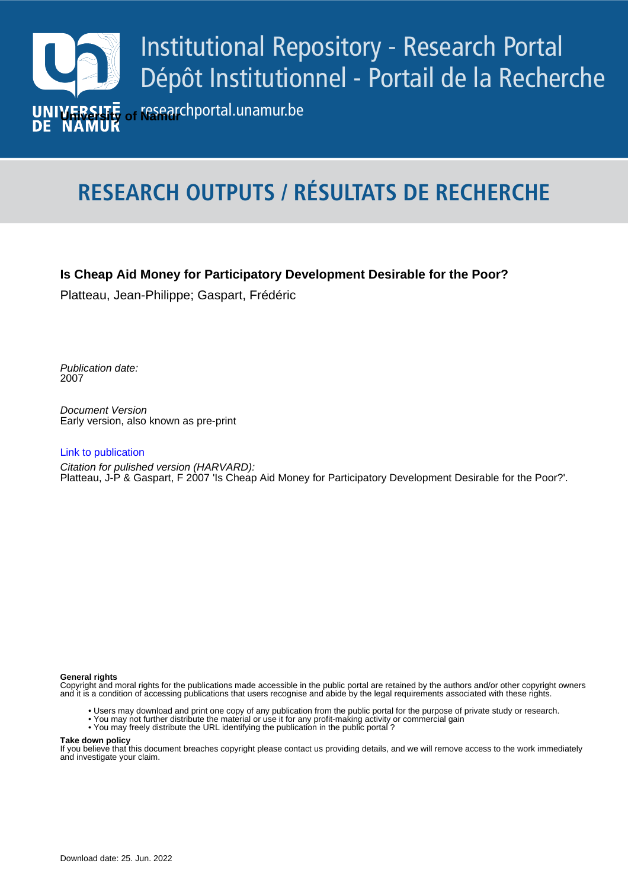

# **RESEARCH OUTPUTS / RÉSULTATS DE RECHERCHE**

# **Is Cheap Aid Money for Participatory Development Desirable for the Poor?**

Platteau, Jean-Philippe; Gaspart, Frédéric

Publication date:<br><sup>2007</sup> 2007

> Document Version Early version, also known as pre-print

#### [Link to publication](https://researchportal.unamur.be/en/publications/7596ef95-2a1a-4650-9e9f-b38fe59e70ce)

**Publication date - Date de publication :** Citation for pulished version (HARVARD): Platteau, J-P & Gaspart, F 2007 'Is Cheap Aid Money for Participatory Development Desirable for the Poor?'.

#### **General rights**

Copyright and moral rights for the publications made accessible in the public portal are retained by the authors and/or other copyright owners and it is a condition of accessing publications that users recognise and abide by the legal requirements associated with these rights.

- Users may download and print one copy of any publication from the public portal for the purpose of private study or research.
- You may not further distribute the material or use it for any profit-making activity or commercial gain
- You may freely distribute the URL identifying the publication in the public portal ?

#### **Take down policy**

If you believe that this document breaches copyright please contact us providing details, and we will remove access to the work immediately and investigate your claim.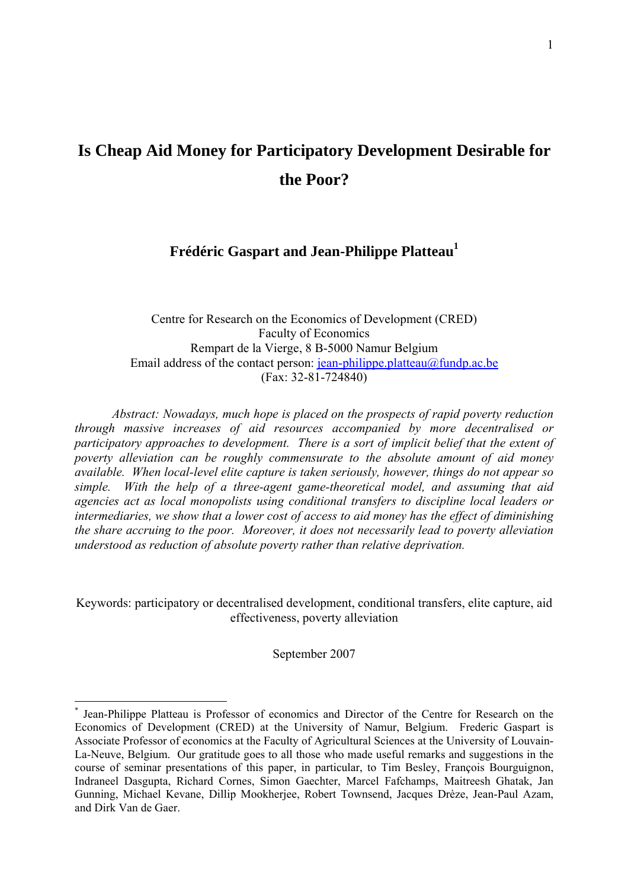# **Is Cheap Aid Money for Participatory Development Desirable for the Poor?**

# **Frédéric Gaspart and Jean-Philippe Platteau1**

Centre for Research on the Economics of Development (CRED) Faculty of Economics Rempart de la Vierge, 8 B-5000 Namur Belgium Email address of the contact person: jean-philippe.platteau $@$ fundp.ac.be (Fax: 32-81-724840)

*Abstract: Nowadays, much hope is placed on the prospects of rapid poverty reduction through massive increases of aid resources accompanied by more decentralised or participatory approaches to development. There is a sort of implicit belief that the extent of poverty alleviation can be roughly commensurate to the absolute amount of aid money available. When local-level elite capture is taken seriously, however, things do not appear so simple. With the help of a three-agent game-theoretical model, and assuming that aid agencies act as local monopolists using conditional transfers to discipline local leaders or intermediaries, we show that a lower cost of access to aid money has the effect of diminishing the share accruing to the poor. Moreover, it does not necessarily lead to poverty alleviation understood as reduction of absolute poverty rather than relative deprivation.* 

Keywords: participatory or decentralised development, conditional transfers, elite capture, aid effectiveness, poverty alleviation

September 2007

<sup>\*</sup> Jean-Philippe Platteau is Professor of economics and Director of the Centre for Research on the Economics of Development (CRED) at the University of Namur, Belgium. Frederic Gaspart is Associate Professor of economics at the Faculty of Agricultural Sciences at the University of Louvain-La-Neuve, Belgium. Our gratitude goes to all those who made useful remarks and suggestions in the course of seminar presentations of this paper, in particular, to Tim Besley, François Bourguignon, Indraneel Dasgupta, Richard Cornes, Simon Gaechter, Marcel Fafchamps, Maitreesh Ghatak, Jan Gunning, Michael Kevane, Dillip Mookherjee, Robert Townsend, Jacques Drèze, Jean-Paul Azam, and Dirk Van de Gaer.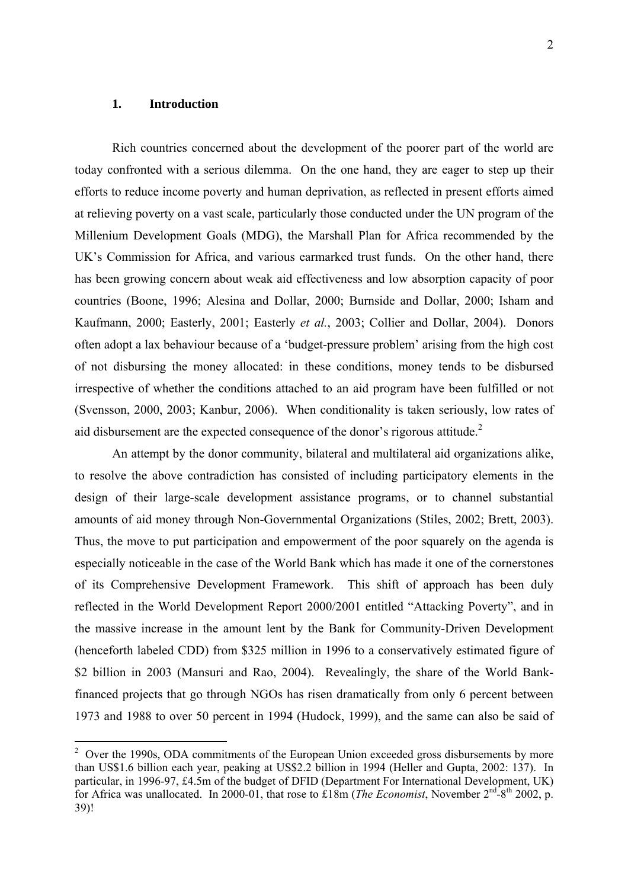# **1. Introduction**

Rich countries concerned about the development of the poorer part of the world are today confronted with a serious dilemma. On the one hand, they are eager to step up their efforts to reduce income poverty and human deprivation, as reflected in present efforts aimed at relieving poverty on a vast scale, particularly those conducted under the UN program of the Millenium Development Goals (MDG), the Marshall Plan for Africa recommended by the UK's Commission for Africa, and various earmarked trust funds. On the other hand, there has been growing concern about weak aid effectiveness and low absorption capacity of poor countries (Boone, 1996; Alesina and Dollar, 2000; Burnside and Dollar, 2000; Isham and Kaufmann, 2000; Easterly, 2001; Easterly *et al.*, 2003; Collier and Dollar, 2004). Donors often adopt a lax behaviour because of a 'budget-pressure problem' arising from the high cost of not disbursing the money allocated: in these conditions, money tends to be disbursed irrespective of whether the conditions attached to an aid program have been fulfilled or not (Svensson, 2000, 2003; Kanbur, 2006). When conditionality is taken seriously, low rates of aid disbursement are the expected consequence of the donor's rigorous attitude.<sup>2</sup>

An attempt by the donor community, bilateral and multilateral aid organizations alike, to resolve the above contradiction has consisted of including participatory elements in the design of their large-scale development assistance programs, or to channel substantial amounts of aid money through Non-Governmental Organizations (Stiles, 2002; Brett, 2003). Thus, the move to put participation and empowerment of the poor squarely on the agenda is especially noticeable in the case of the World Bank which has made it one of the cornerstones of its Comprehensive Development Framework. This shift of approach has been duly reflected in the World Development Report 2000/2001 entitled "Attacking Poverty", and in the massive increase in the amount lent by the Bank for Community-Driven Development (henceforth labeled CDD) from \$325 million in 1996 to a conservatively estimated figure of \$2 billion in 2003 (Mansuri and Rao, 2004). Revealingly, the share of the World Bankfinanced projects that go through NGOs has risen dramatically from only 6 percent between 1973 and 1988 to over 50 percent in 1994 (Hudock, 1999), and the same can also be said of

<sup>&</sup>lt;sup>2</sup> Over the 1990s, ODA commitments of the European Union exceeded gross disbursements by more than US\$1.6 billion each year, peaking at US\$2.2 billion in 1994 (Heller and Gupta, 2002: 137). In particular, in 1996-97, £4.5m of the budget of DFID (Department For International Development, UK) for Africa was unallocated. In 2000-01, that rose to £18m (*The Economist*, November 2<sup>nd</sup>-8<sup>th</sup> 2002, p. 39)!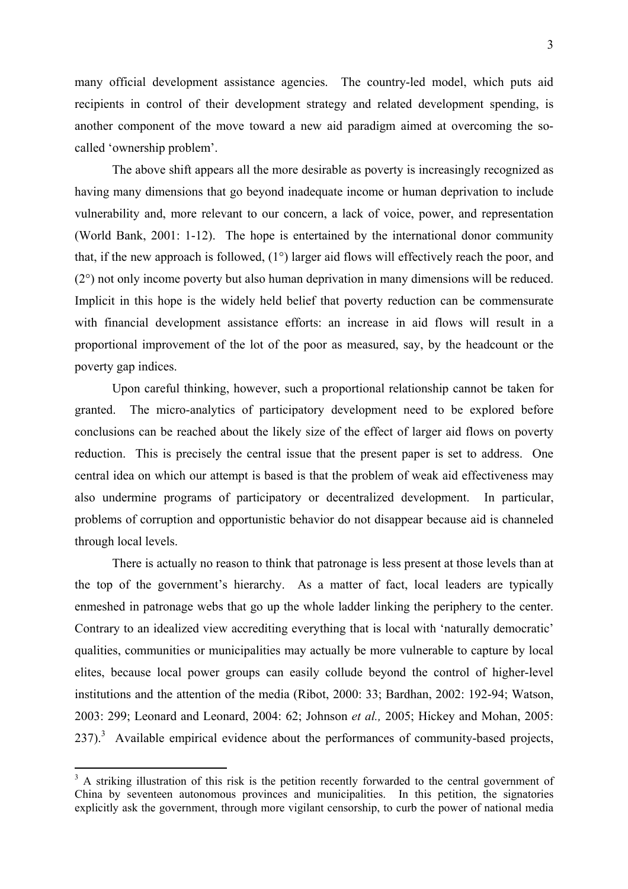many official development assistance agencies. The country-led model, which puts aid recipients in control of their development strategy and related development spending, is another component of the move toward a new aid paradigm aimed at overcoming the socalled 'ownership problem'.

The above shift appears all the more desirable as poverty is increasingly recognized as having many dimensions that go beyond inadequate income or human deprivation to include vulnerability and, more relevant to our concern, a lack of voice, power, and representation (World Bank, 2001: 1-12). The hope is entertained by the international donor community that, if the new approach is followed, (1°) larger aid flows will effectively reach the poor, and (2°) not only income poverty but also human deprivation in many dimensions will be reduced. Implicit in this hope is the widely held belief that poverty reduction can be commensurate with financial development assistance efforts: an increase in aid flows will result in a proportional improvement of the lot of the poor as measured, say, by the headcount or the poverty gap indices.

Upon careful thinking, however, such a proportional relationship cannot be taken for granted. The micro-analytics of participatory development need to be explored before conclusions can be reached about the likely size of the effect of larger aid flows on poverty reduction. This is precisely the central issue that the present paper is set to address. One central idea on which our attempt is based is that the problem of weak aid effectiveness may also undermine programs of participatory or decentralized development. In particular, problems of corruption and opportunistic behavior do not disappear because aid is channeled through local levels.

There is actually no reason to think that patronage is less present at those levels than at the top of the government's hierarchy. As a matter of fact, local leaders are typically enmeshed in patronage webs that go up the whole ladder linking the periphery to the center. Contrary to an idealized view accrediting everything that is local with 'naturally democratic' qualities, communities or municipalities may actually be more vulnerable to capture by local elites, because local power groups can easily collude beyond the control of higher-level institutions and the attention of the media (Ribot, 2000: 33; Bardhan, 2002: 192-94; Watson, 2003: 299; Leonard and Leonard, 2004: 62; Johnson *et al.,* 2005; Hickey and Mohan, 2005:  $237$ ).<sup>3</sup> Available empirical evidence about the performances of community-based projects,

 $3$  A striking illustration of this risk is the petition recently forwarded to the central government of China by seventeen autonomous provinces and municipalities. In this petition, the signatories explicitly ask the government, through more vigilant censorship, to curb the power of national media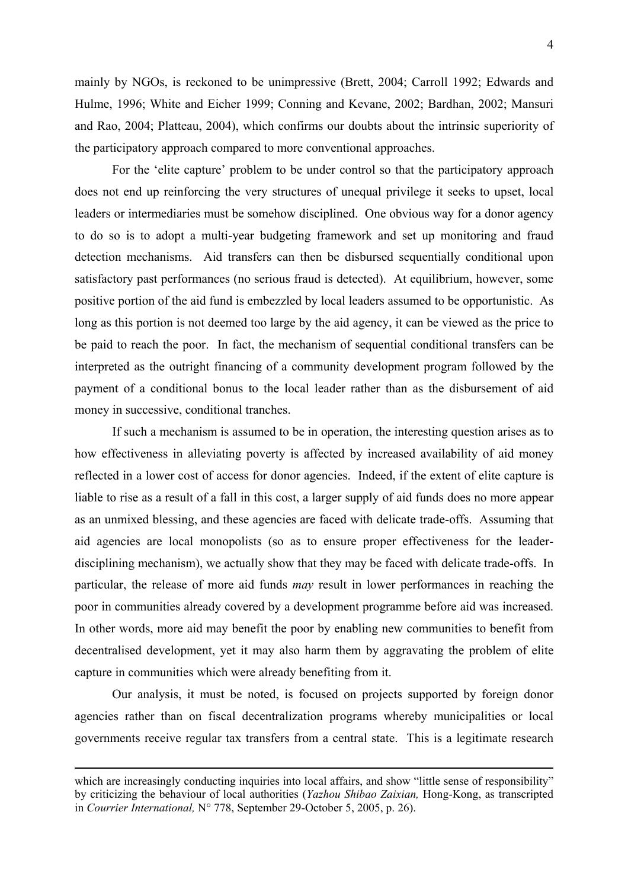mainly by NGOs, is reckoned to be unimpressive (Brett, 2004; Carroll 1992; Edwards and Hulme, 1996; White and Eicher 1999; Conning and Kevane, 2002; Bardhan, 2002; Mansuri and Rao, 2004; Platteau, 2004), which confirms our doubts about the intrinsic superiority of the participatory approach compared to more conventional approaches.

For the 'elite capture' problem to be under control so that the participatory approach does not end up reinforcing the very structures of unequal privilege it seeks to upset, local leaders or intermediaries must be somehow disciplined. One obvious way for a donor agency to do so is to adopt a multi-year budgeting framework and set up monitoring and fraud detection mechanisms. Aid transfers can then be disbursed sequentially conditional upon satisfactory past performances (no serious fraud is detected). At equilibrium, however, some positive portion of the aid fund is embezzled by local leaders assumed to be opportunistic. As long as this portion is not deemed too large by the aid agency, it can be viewed as the price to be paid to reach the poor. In fact, the mechanism of sequential conditional transfers can be interpreted as the outright financing of a community development program followed by the payment of a conditional bonus to the local leader rather than as the disbursement of aid money in successive, conditional tranches.

If such a mechanism is assumed to be in operation, the interesting question arises as to how effectiveness in alleviating poverty is affected by increased availability of aid money reflected in a lower cost of access for donor agencies. Indeed, if the extent of elite capture is liable to rise as a result of a fall in this cost, a larger supply of aid funds does no more appear as an unmixed blessing, and these agencies are faced with delicate trade-offs. Assuming that aid agencies are local monopolists (so as to ensure proper effectiveness for the leaderdisciplining mechanism), we actually show that they may be faced with delicate trade-offs. In particular, the release of more aid funds *may* result in lower performances in reaching the poor in communities already covered by a development programme before aid was increased. In other words, more aid may benefit the poor by enabling new communities to benefit from decentralised development, yet it may also harm them by aggravating the problem of elite capture in communities which were already benefiting from it.

Our analysis, it must be noted, is focused on projects supported by foreign donor agencies rather than on fiscal decentralization programs whereby municipalities or local governments receive regular tax transfers from a central state. This is a legitimate research

 $\overline{a}$ 

which are increasingly conducting inquiries into local affairs, and show "little sense of responsibility" by criticizing the behaviour of local authorities (*Yazhou Shibao Zaixian,* Hong-Kong, as transcripted in *Courrier International,* N° 778, September 29-October 5, 2005, p. 26).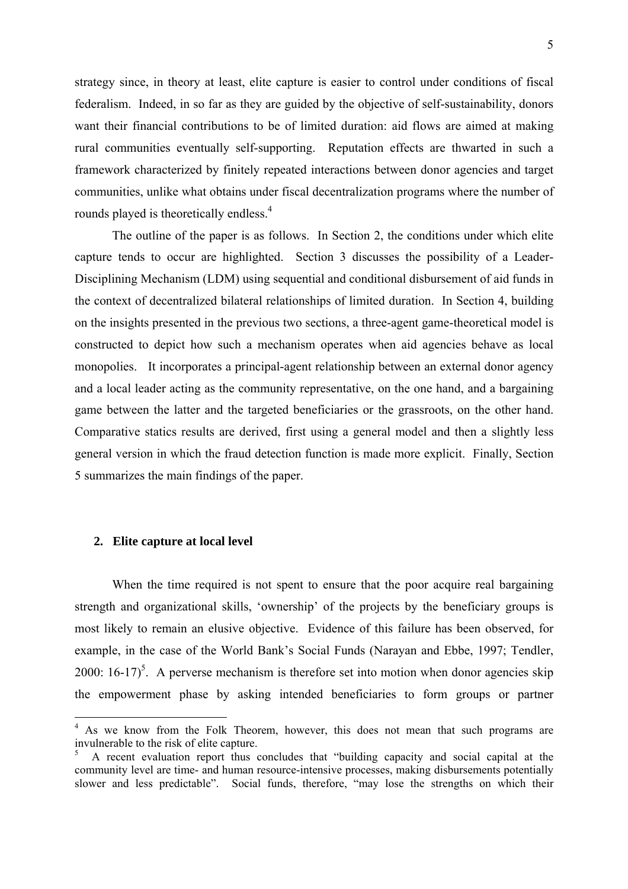strategy since, in theory at least, elite capture is easier to control under conditions of fiscal federalism. Indeed, in so far as they are guided by the objective of self-sustainability, donors want their financial contributions to be of limited duration: aid flows are aimed at making rural communities eventually self-supporting. Reputation effects are thwarted in such a framework characterized by finitely repeated interactions between donor agencies and target communities, unlike what obtains under fiscal decentralization programs where the number of rounds played is theoretically endless.<sup>4</sup>

The outline of the paper is as follows. In Section 2, the conditions under which elite capture tends to occur are highlighted. Section 3 discusses the possibility of a Leader-Disciplining Mechanism (LDM) using sequential and conditional disbursement of aid funds in the context of decentralized bilateral relationships of limited duration. In Section 4, building on the insights presented in the previous two sections, a three-agent game-theoretical model is constructed to depict how such a mechanism operates when aid agencies behave as local monopolies. It incorporates a principal-agent relationship between an external donor agency and a local leader acting as the community representative, on the one hand, and a bargaining game between the latter and the targeted beneficiaries or the grassroots, on the other hand. Comparative statics results are derived, first using a general model and then a slightly less general version in which the fraud detection function is made more explicit. Finally, Section 5 summarizes the main findings of the paper.

# **2. Elite capture at local level**

1

When the time required is not spent to ensure that the poor acquire real bargaining strength and organizational skills, 'ownership' of the projects by the beneficiary groups is most likely to remain an elusive objective. Evidence of this failure has been observed, for example, in the case of the World Bank's Social Funds (Narayan and Ebbe, 1997; Tendler, 2000:  $16-17$ <sup>5</sup>. A perverse mechanism is therefore set into motion when donor agencies skip the empowerment phase by asking intended beneficiaries to form groups or partner

<sup>&</sup>lt;sup>4</sup> As we know from the Folk Theorem, however, this does not mean that such programs are invulnerable to the risk of elite capture.

<sup>5</sup> A recent evaluation report thus concludes that "building capacity and social capital at the community level are time- and human resource-intensive processes, making disbursements potentially slower and less predictable". Social funds, therefore, "may lose the strengths on which their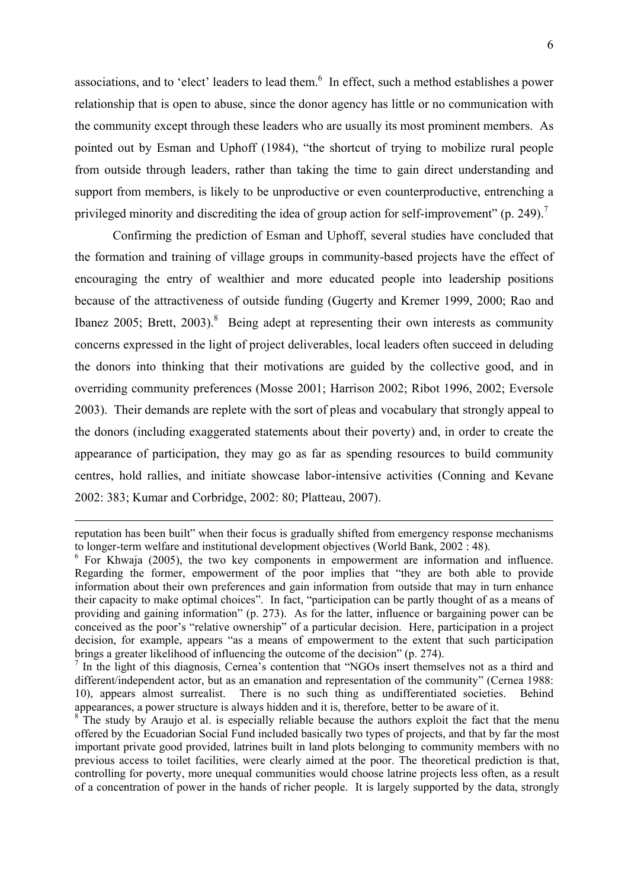associations, and to 'elect' leaders to lead them.<sup>6</sup> In effect, such a method establishes a power relationship that is open to abuse, since the donor agency has little or no communication with the community except through these leaders who are usually its most prominent members. As pointed out by Esman and Uphoff (1984), "the shortcut of trying to mobilize rural people from outside through leaders, rather than taking the time to gain direct understanding and support from members, is likely to be unproductive or even counterproductive, entrenching a privileged minority and discrediting the idea of group action for self-improvement" (p. 249).<sup>7</sup>

Confirming the prediction of Esman and Uphoff, several studies have concluded that the formation and training of village groups in community-based projects have the effect of encouraging the entry of wealthier and more educated people into leadership positions because of the attractiveness of outside funding (Gugerty and Kremer 1999, 2000; Rao and Ibanez 2005; Brett, 2003).<sup>8</sup> Being adept at representing their own interests as community concerns expressed in the light of project deliverables, local leaders often succeed in deluding the donors into thinking that their motivations are guided by the collective good, and in overriding community preferences (Mosse 2001; Harrison 2002; Ribot 1996, 2002; Eversole 2003). Their demands are replete with the sort of pleas and vocabulary that strongly appeal to the donors (including exaggerated statements about their poverty) and, in order to create the appearance of participation, they may go as far as spending resources to build community centres, hold rallies, and initiate showcase labor-intensive activities (Conning and Kevane 2002: 383; Kumar and Corbridge, 2002: 80; Platteau, 2007).

reputation has been built" when their focus is gradually shifted from emergency response mechanisms to longer-term welfare and institutional development objectives (World Bank, 2002 : 48).

<sup>&</sup>lt;sup>6</sup> For Khwaja (2005), the two key components in empowerment are information and influence. Regarding the former, empowerment of the poor implies that "they are both able to provide information about their own preferences and gain information from outside that may in turn enhance their capacity to make optimal choices". In fact, "participation can be partly thought of as a means of providing and gaining information" (p. 273). As for the latter, influence or bargaining power can be conceived as the poor's "relative ownership" of a particular decision. Here, participation in a project decision, for example, appears "as a means of empowerment to the extent that such participation brings a greater likelihood of influencing the outcome of the decision" (p. 274).

<sup>&</sup>lt;sup>7</sup> In the light of this diagnosis, Cernea's contention that "NGOs insert themselves not as a third and different/independent actor, but as an emanation and representation of the community" (Cernea 1988: 10), appears almost surrealist. There is no such thing as undifferentiated societies. Behind appearances, a power structure is always hidden and it is, therefore, better to be aware of it.

 $8$ <sup>The study by Araujo et al. is especially reliable because the authors exploit the fact that the menu</sup> offered by the Ecuadorian Social Fund included basically two types of projects, and that by far the most important private good provided, latrines built in land plots belonging to community members with no previous access to toilet facilities, were clearly aimed at the poor. The theoretical prediction is that, controlling for poverty, more unequal communities would choose latrine projects less often, as a result of a concentration of power in the hands of richer people. It is largely supported by the data, strongly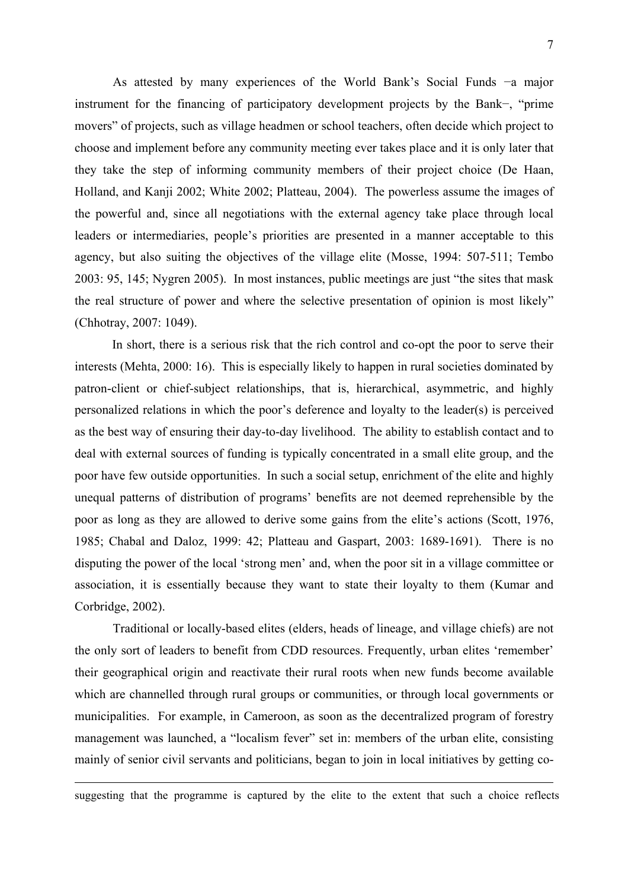As attested by many experiences of the World Bank's Social Funds −a major instrument for the financing of participatory development projects by the Bank−, "prime movers" of projects, such as village headmen or school teachers, often decide which project to choose and implement before any community meeting ever takes place and it is only later that they take the step of informing community members of their project choice (De Haan, Holland, and Kanji 2002; White 2002; Platteau, 2004). The powerless assume the images of the powerful and, since all negotiations with the external agency take place through local leaders or intermediaries, people's priorities are presented in a manner acceptable to this agency, but also suiting the objectives of the village elite (Mosse, 1994: 507-511; Tembo 2003: 95, 145; Nygren 2005). In most instances, public meetings are just "the sites that mask the real structure of power and where the selective presentation of opinion is most likely" (Chhotray, 2007: 1049).

In short, there is a serious risk that the rich control and co-opt the poor to serve their interests (Mehta, 2000: 16). This is especially likely to happen in rural societies dominated by patron-client or chief-subject relationships, that is, hierarchical, asymmetric, and highly personalized relations in which the poor's deference and loyalty to the leader(s) is perceived as the best way of ensuring their day-to-day livelihood. The ability to establish contact and to deal with external sources of funding is typically concentrated in a small elite group, and the poor have few outside opportunities. In such a social setup, enrichment of the elite and highly unequal patterns of distribution of programs' benefits are not deemed reprehensible by the poor as long as they are allowed to derive some gains from the elite's actions (Scott, 1976, 1985; Chabal and Daloz, 1999: 42; Platteau and Gaspart, 2003: 1689-1691). There is no disputing the power of the local 'strong men' and, when the poor sit in a village committee or association, it is essentially because they want to state their loyalty to them (Kumar and Corbridge, 2002).

Traditional or locally-based elites (elders, heads of lineage, and village chiefs) are not the only sort of leaders to benefit from CDD resources. Frequently, urban elites 'remember' their geographical origin and reactivate their rural roots when new funds become available which are channelled through rural groups or communities, or through local governments or municipalities. For example, in Cameroon, as soon as the decentralized program of forestry management was launched, a "localism fever" set in: members of the urban elite, consisting mainly of senior civil servants and politicians, began to join in local initiatives by getting co-

suggesting that the programme is captured by the elite to the extent that such a choice reflects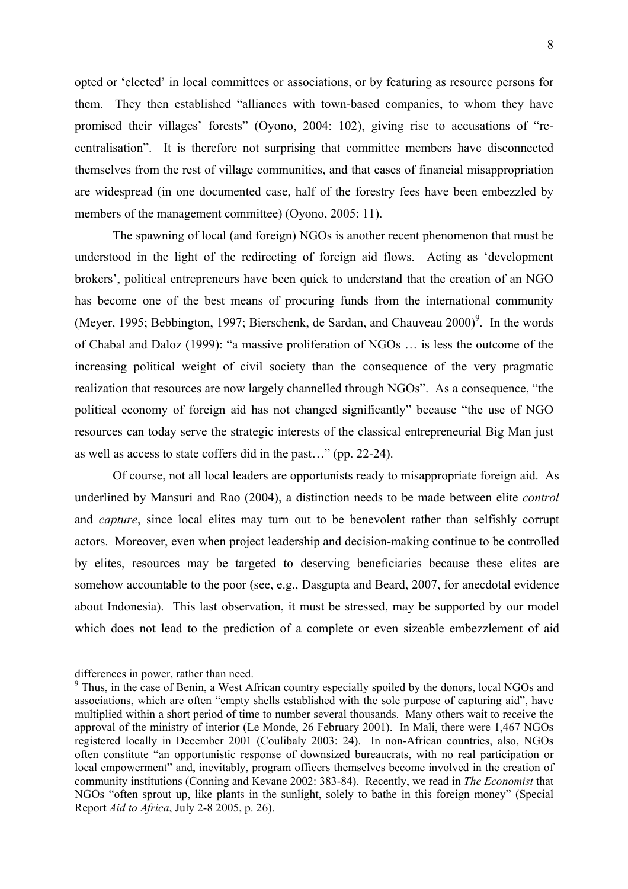opted or 'elected' in local committees or associations, or by featuring as resource persons for them. They then established "alliances with town-based companies, to whom they have promised their villages' forests" (Oyono, 2004: 102), giving rise to accusations of "recentralisation". It is therefore not surprising that committee members have disconnected themselves from the rest of village communities, and that cases of financial misappropriation are widespread (in one documented case, half of the forestry fees have been embezzled by members of the management committee) (Oyono, 2005: 11).

The spawning of local (and foreign) NGOs is another recent phenomenon that must be understood in the light of the redirecting of foreign aid flows. Acting as 'development brokers', political entrepreneurs have been quick to understand that the creation of an NGO has become one of the best means of procuring funds from the international community (Meyer, 1995; Bebbington, 1997; Bierschenk, de Sardan, and Chauveau 2000)<sup>9</sup>. In the words of Chabal and Daloz (1999): "a massive proliferation of NGOs … is less the outcome of the increasing political weight of civil society than the consequence of the very pragmatic realization that resources are now largely channelled through NGOs". As a consequence, "the political economy of foreign aid has not changed significantly" because "the use of NGO resources can today serve the strategic interests of the classical entrepreneurial Big Man just as well as access to state coffers did in the past…" (pp. 22-24).

Of course, not all local leaders are opportunists ready to misappropriate foreign aid. As underlined by Mansuri and Rao (2004), a distinction needs to be made between elite *control* and *capture*, since local elites may turn out to be benevolent rather than selfishly corrupt actors. Moreover, even when project leadership and decision-making continue to be controlled by elites, resources may be targeted to deserving beneficiaries because these elites are somehow accountable to the poor (see, e.g., Dasgupta and Beard, 2007, for anecdotal evidence about Indonesia). This last observation, it must be stressed, may be supported by our model which does not lead to the prediction of a complete or even sizeable embezzlement of aid

differences in power, rather than need.

<sup>&</sup>lt;sup>9</sup> Thus, in the case of Benin, a West African country especially spoiled by the donors, local NGOs and associations, which are often "empty shells established with the sole purpose of capturing aid", have multiplied within a short period of time to number several thousands. Many others wait to receive the approval of the ministry of interior (Le Monde, 26 February 2001). In Mali, there were 1,467 NGOs registered locally in December 2001 (Coulibaly 2003: 24). In non-African countries, also, NGOs often constitute "an opportunistic response of downsized bureaucrats, with no real participation or local empowerment" and, inevitably, program officers themselves become involved in the creation of community institutions (Conning and Kevane 2002: 383-84). Recently, we read in *The Economist* that NGOs "often sprout up, like plants in the sunlight, solely to bathe in this foreign money" (Special Report *Aid to Africa*, July 2-8 2005, p. 26).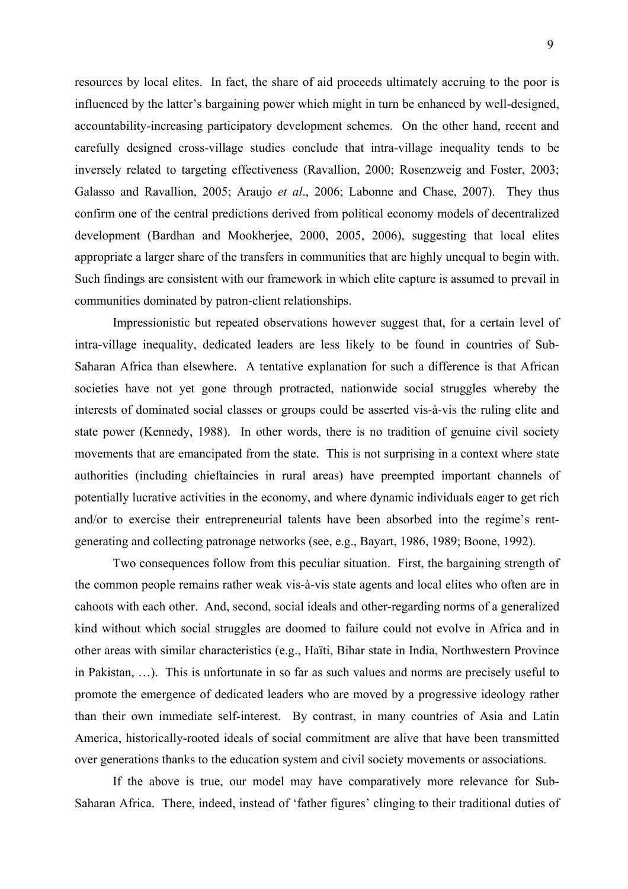resources by local elites. In fact, the share of aid proceeds ultimately accruing to the poor is influenced by the latter's bargaining power which might in turn be enhanced by well-designed, accountability-increasing participatory development schemes. On the other hand, recent and carefully designed cross-village studies conclude that intra-village inequality tends to be inversely related to targeting effectiveness (Ravallion, 2000; Rosenzweig and Foster, 2003; Galasso and Ravallion, 2005; Araujo *et al*., 2006; Labonne and Chase, 2007). They thus confirm one of the central predictions derived from political economy models of decentralized development (Bardhan and Mookherjee, 2000, 2005, 2006), suggesting that local elites appropriate a larger share of the transfers in communities that are highly unequal to begin with. Such findings are consistent with our framework in which elite capture is assumed to prevail in communities dominated by patron-client relationships.

Impressionistic but repeated observations however suggest that, for a certain level of intra-village inequality, dedicated leaders are less likely to be found in countries of Sub-Saharan Africa than elsewhere. A tentative explanation for such a difference is that African societies have not yet gone through protracted, nationwide social struggles whereby the interests of dominated social classes or groups could be asserted vis-à-vis the ruling elite and state power (Kennedy, 1988). In other words, there is no tradition of genuine civil society movements that are emancipated from the state. This is not surprising in a context where state authorities (including chieftaincies in rural areas) have preempted important channels of potentially lucrative activities in the economy, and where dynamic individuals eager to get rich and/or to exercise their entrepreneurial talents have been absorbed into the regime's rentgenerating and collecting patronage networks (see, e.g., Bayart, 1986, 1989; Boone, 1992).

Two consequences follow from this peculiar situation. First, the bargaining strength of the common people remains rather weak vis-à-vis state agents and local elites who often are in cahoots with each other. And, second, social ideals and other-regarding norms of a generalized kind without which social struggles are doomed to failure could not evolve in Africa and in other areas with similar characteristics (e.g., Haïti, Bihar state in India, Northwestern Province in Pakistan, …). This is unfortunate in so far as such values and norms are precisely useful to promote the emergence of dedicated leaders who are moved by a progressive ideology rather than their own immediate self-interest. By contrast, in many countries of Asia and Latin America, historically-rooted ideals of social commitment are alive that have been transmitted over generations thanks to the education system and civil society movements or associations.

If the above is true, our model may have comparatively more relevance for Sub-Saharan Africa. There, indeed, instead of 'father figures' clinging to their traditional duties of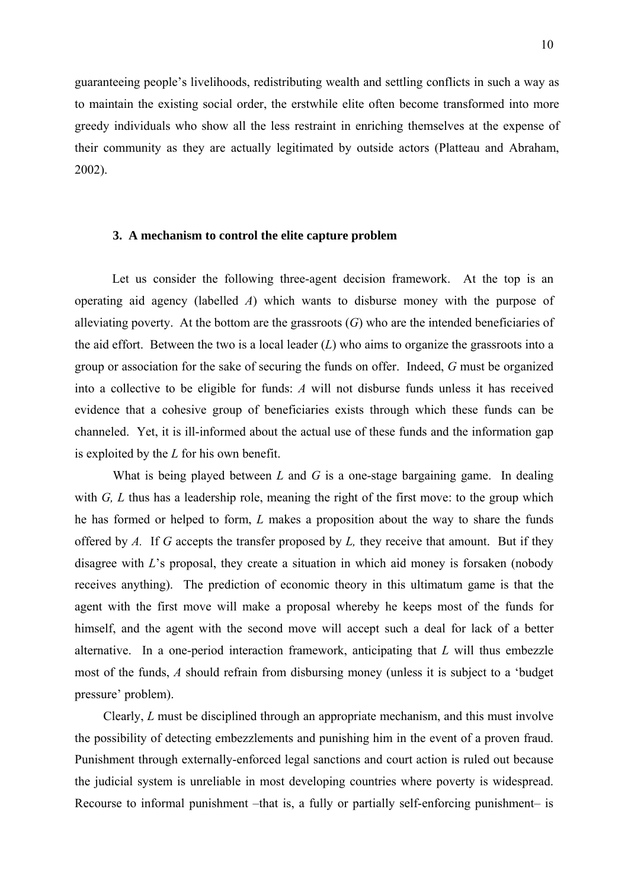guaranteeing people's livelihoods, redistributing wealth and settling conflicts in such a way as to maintain the existing social order, the erstwhile elite often become transformed into more greedy individuals who show all the less restraint in enriching themselves at the expense of their community as they are actually legitimated by outside actors (Platteau and Abraham, 2002).

## **3. A mechanism to control the elite capture problem**

Let us consider the following three-agent decision framework. At the top is an operating aid agency (labelled *A*) which wants to disburse money with the purpose of alleviating poverty. At the bottom are the grassroots (*G*) who are the intended beneficiaries of the aid effort. Between the two is a local leader (*L*) who aims to organize the grassroots into a group or association for the sake of securing the funds on offer. Indeed, *G* must be organized into a collective to be eligible for funds: *A* will not disburse funds unless it has received evidence that a cohesive group of beneficiaries exists through which these funds can be channeled. Yet, it is ill-informed about the actual use of these funds and the information gap is exploited by the *L* for his own benefit.

What is being played between *L* and *G* is a one-stage bargaining game. In dealing with *G, L* thus has a leadership role, meaning the right of the first move: to the group which he has formed or helped to form, *L* makes a proposition about the way to share the funds offered by *A.* If *G* accepts the transfer proposed by *L,* they receive that amount. But if they disagree with *L*'s proposal, they create a situation in which aid money is forsaken (nobody receives anything). The prediction of economic theory in this ultimatum game is that the agent with the first move will make a proposal whereby he keeps most of the funds for himself, and the agent with the second move will accept such a deal for lack of a better alternative. In a one-period interaction framework, anticipating that *L* will thus embezzle most of the funds, *A* should refrain from disbursing money (unless it is subject to a 'budget pressure' problem).

 Clearly, *L* must be disciplined through an appropriate mechanism, and this must involve the possibility of detecting embezzlements and punishing him in the event of a proven fraud. Punishment through externally-enforced legal sanctions and court action is ruled out because the judicial system is unreliable in most developing countries where poverty is widespread. Recourse to informal punishment –that is, a fully or partially self-enforcing punishment– is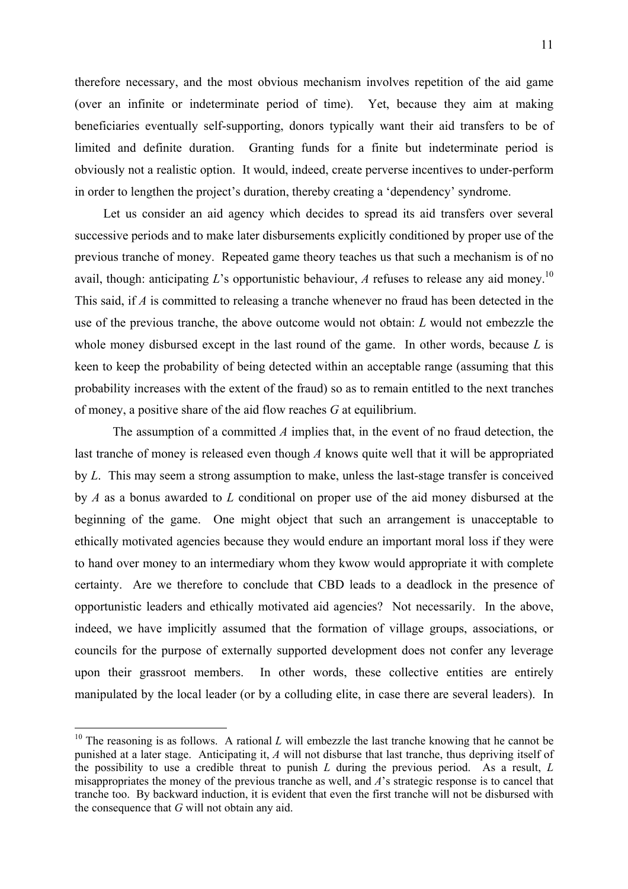therefore necessary, and the most obvious mechanism involves repetition of the aid game (over an infinite or indeterminate period of time). Yet, because they aim at making beneficiaries eventually self-supporting, donors typically want their aid transfers to be of limited and definite duration. Granting funds for a finite but indeterminate period is obviously not a realistic option. It would, indeed, create perverse incentives to under-perform in order to lengthen the project's duration, thereby creating a 'dependency' syndrome.

 Let us consider an aid agency which decides to spread its aid transfers over several successive periods and to make later disbursements explicitly conditioned by proper use of the previous tranche of money. Repeated game theory teaches us that such a mechanism is of no avail, though: anticipating  $L$ 's opportunistic behaviour,  $A$  refuses to release any aid money.<sup>10</sup> This said, if *A* is committed to releasing a tranche whenever no fraud has been detected in the use of the previous tranche, the above outcome would not obtain: *L* would not embezzle the whole money disbursed except in the last round of the game. In other words, because *L* is keen to keep the probability of being detected within an acceptable range (assuming that this probability increases with the extent of the fraud) so as to remain entitled to the next tranches of money, a positive share of the aid flow reaches *G* at equilibrium.

 The assumption of a committed *A* implies that, in the event of no fraud detection, the last tranche of money is released even though *A* knows quite well that it will be appropriated by *L*. This may seem a strong assumption to make, unless the last-stage transfer is conceived by *A* as a bonus awarded to *L* conditional on proper use of the aid money disbursed at the beginning of the game. One might object that such an arrangement is unacceptable to ethically motivated agencies because they would endure an important moral loss if they were to hand over money to an intermediary whom they kwow would appropriate it with complete certainty. Are we therefore to conclude that CBD leads to a deadlock in the presence of opportunistic leaders and ethically motivated aid agencies? Not necessarily. In the above, indeed, we have implicitly assumed that the formation of village groups, associations, or councils for the purpose of externally supported development does not confer any leverage upon their grassroot members. In other words, these collective entities are entirely manipulated by the local leader (or by a colluding elite, in case there are several leaders). In

<u>.</u>

<sup>&</sup>lt;sup>10</sup> The reasoning is as follows. A rational *L* will embezzle the last tranche knowing that he cannot be punished at a later stage. Anticipating it, *A* will not disburse that last tranche, thus depriving itself of the possibility to use a credible threat to punish *L* during the previous period. As a result, *L* misappropriates the money of the previous tranche as well, and *A*'s strategic response is to cancel that tranche too. By backward induction, it is evident that even the first tranche will not be disbursed with the consequence that *G* will not obtain any aid.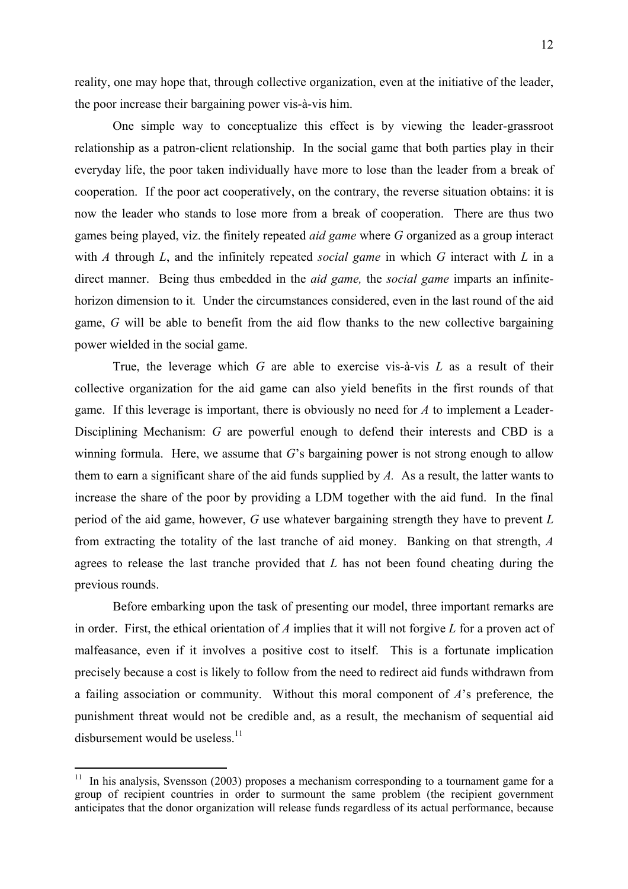reality, one may hope that, through collective organization, even at the initiative of the leader, the poor increase their bargaining power vis-à-vis him.

 One simple way to conceptualize this effect is by viewing the leader-grassroot relationship as a patron-client relationship. In the social game that both parties play in their everyday life, the poor taken individually have more to lose than the leader from a break of cooperation. If the poor act cooperatively, on the contrary, the reverse situation obtains: it is now the leader who stands to lose more from a break of cooperation. There are thus two games being played, viz. the finitely repeated *aid game* where *G* organized as a group interact with *A* through *L*, and the infinitely repeated *social game* in which *G* interact with *L* in a direct manner. Being thus embedded in the *aid game,* the *social game* imparts an infinitehorizon dimension to it*.* Under the circumstances considered, even in the last round of the aid game, *G* will be able to benefit from the aid flow thanks to the new collective bargaining power wielded in the social game.

 True, the leverage which *G* are able to exercise vis-à-vis *L* as a result of their collective organization for the aid game can also yield benefits in the first rounds of that game. If this leverage is important, there is obviously no need for *A* to implement a Leader-Disciplining Mechanism: *G* are powerful enough to defend their interests and CBD is a winning formula. Here, we assume that *G*'s bargaining power is not strong enough to allow them to earn a significant share of the aid funds supplied by *A.* As a result, the latter wants to increase the share of the poor by providing a LDM together with the aid fund. In the final period of the aid game, however, *G* use whatever bargaining strength they have to prevent *L*  from extracting the totality of the last tranche of aid money. Banking on that strength, *A*  agrees to release the last tranche provided that *L* has not been found cheating during the previous rounds.

 Before embarking upon the task of presenting our model, three important remarks are in order. First, the ethical orientation of *A* implies that it will not forgive *L* for a proven act of malfeasance, even if it involves a positive cost to itself. This is a fortunate implication precisely because a cost is likely to follow from the need to redirect aid funds withdrawn from a failing association or community. Without this moral component of *A*'s preference*,* the punishment threat would not be credible and, as a result, the mechanism of sequential aid disbursement would be useless. $^{11}$ 

 $11$  In his analysis, Svensson (2003) proposes a mechanism corresponding to a tournament game for a group of recipient countries in order to surmount the same problem (the recipient government anticipates that the donor organization will release funds regardless of its actual performance, because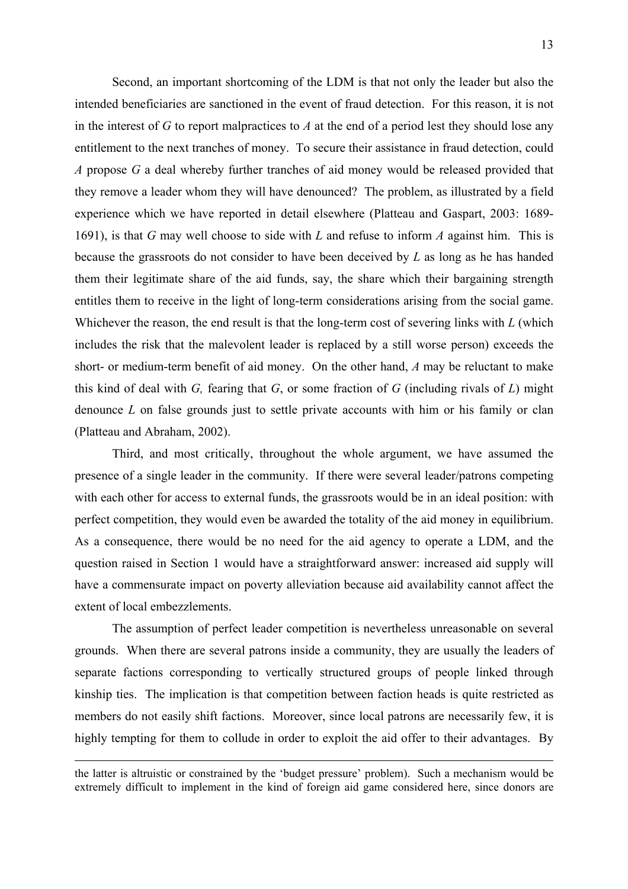Second, an important shortcoming of the LDM is that not only the leader but also the intended beneficiaries are sanctioned in the event of fraud detection. For this reason, it is not in the interest of *G* to report malpractices to *A* at the end of a period lest they should lose any entitlement to the next tranches of money. To secure their assistance in fraud detection, could *A* propose *G* a deal whereby further tranches of aid money would be released provided that they remove a leader whom they will have denounced? The problem, as illustrated by a field experience which we have reported in detail elsewhere (Platteau and Gaspart, 2003: 1689- 1691), is that *G* may well choose to side with *L* and refuse to inform *A* against him. This is because the grassroots do not consider to have been deceived by *L* as long as he has handed them their legitimate share of the aid funds, say, the share which their bargaining strength entitles them to receive in the light of long-term considerations arising from the social game. Whichever the reason, the end result is that the long-term cost of severing links with *L* (which includes the risk that the malevolent leader is replaced by a still worse person) exceeds the short- or medium-term benefit of aid money. On the other hand, *A* may be reluctant to make this kind of deal with *G,* fearing that *G*, or some fraction of *G* (including rivals of *L*) might denounce *L* on false grounds just to settle private accounts with him or his family or clan (Platteau and Abraham, 2002).

Third, and most critically, throughout the whole argument, we have assumed the presence of a single leader in the community. If there were several leader/patrons competing with each other for access to external funds, the grassroots would be in an ideal position: with perfect competition, they would even be awarded the totality of the aid money in equilibrium. As a consequence, there would be no need for the aid agency to operate a LDM, and the question raised in Section 1 would have a straightforward answer: increased aid supply will have a commensurate impact on poverty alleviation because aid availability cannot affect the extent of local embezzlements.

The assumption of perfect leader competition is nevertheless unreasonable on several grounds. When there are several patrons inside a community, they are usually the leaders of separate factions corresponding to vertically structured groups of people linked through kinship ties. The implication is that competition between faction heads is quite restricted as members do not easily shift factions. Moreover, since local patrons are necessarily few, it is highly tempting for them to collude in order to exploit the aid offer to their advantages. By

<u>.</u>

the latter is altruistic or constrained by the 'budget pressure' problem). Such a mechanism would be extremely difficult to implement in the kind of foreign aid game considered here, since donors are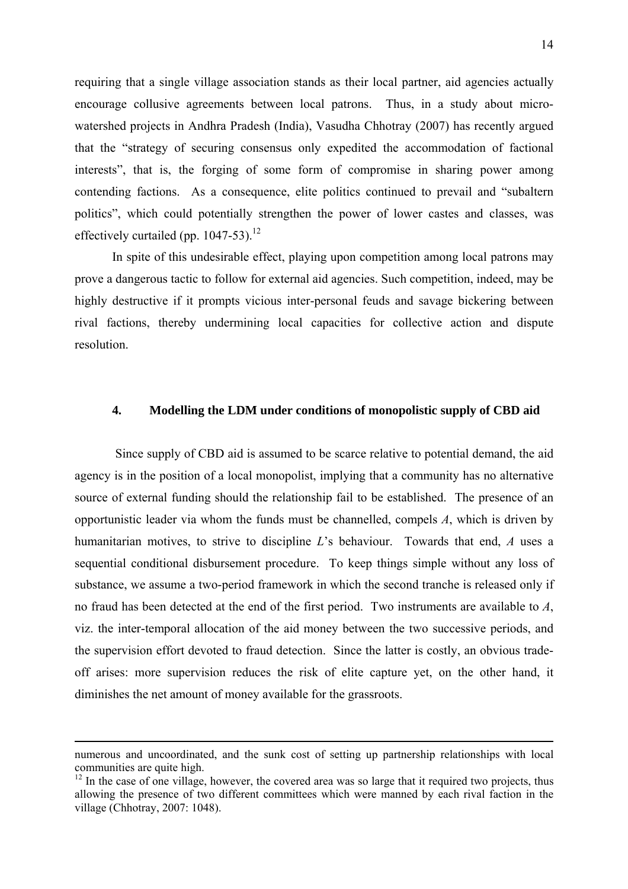requiring that a single village association stands as their local partner, aid agencies actually encourage collusive agreements between local patrons. Thus, in a study about microwatershed projects in Andhra Pradesh (India), Vasudha Chhotray (2007) has recently argued that the "strategy of securing consensus only expedited the accommodation of factional interests", that is, the forging of some form of compromise in sharing power among contending factions. As a consequence, elite politics continued to prevail and "subaltern politics", which could potentially strengthen the power of lower castes and classes, was effectively curtailed (pp.  $1047-53$ ).<sup>12</sup>

In spite of this undesirable effect, playing upon competition among local patrons may prove a dangerous tactic to follow for external aid agencies. Such competition, indeed, may be highly destructive if it prompts vicious inter-personal feuds and savage bickering between rival factions, thereby undermining local capacities for collective action and dispute resolution.

# **4. Modelling the LDM under conditions of monopolistic supply of CBD aid**

Since supply of CBD aid is assumed to be scarce relative to potential demand, the aid agency is in the position of a local monopolist, implying that a community has no alternative source of external funding should the relationship fail to be established. The presence of an opportunistic leader via whom the funds must be channelled, compels *A*, which is driven by humanitarian motives, to strive to discipline *L*'s behaviour. Towards that end, *A* uses a sequential conditional disbursement procedure. To keep things simple without any loss of substance, we assume a two-period framework in which the second tranche is released only if no fraud has been detected at the end of the first period. Two instruments are available to *A*, viz. the inter-temporal allocation of the aid money between the two successive periods, and the supervision effort devoted to fraud detection. Since the latter is costly, an obvious tradeoff arises: more supervision reduces the risk of elite capture yet, on the other hand, it diminishes the net amount of money available for the grassroots.

 $\overline{a}$ 

numerous and uncoordinated, and the sunk cost of setting up partnership relationships with local communities are quite high.

 $12$  In the case of one village, however, the covered area was so large that it required two projects, thus allowing the presence of two different committees which were manned by each rival faction in the village (Chhotray, 2007: 1048).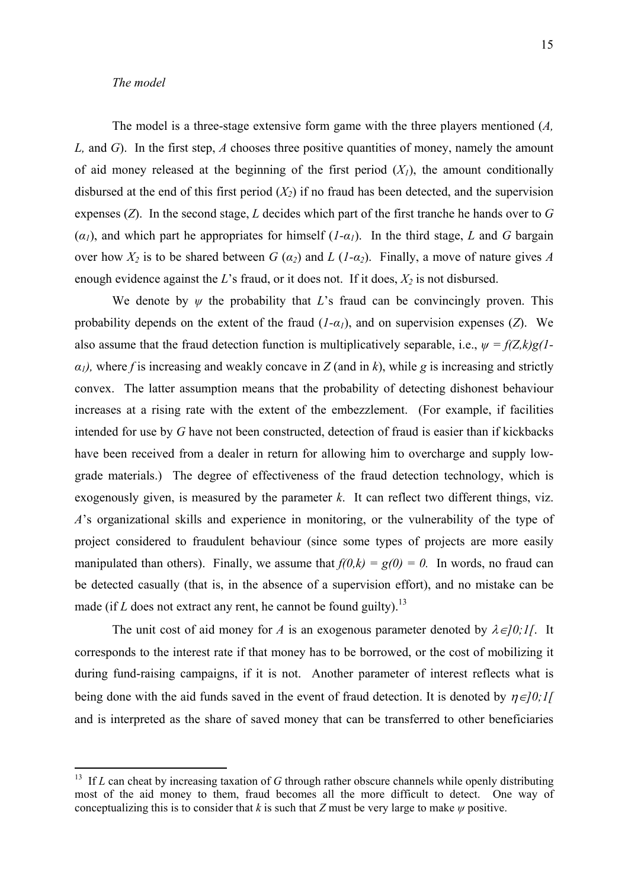### *The model*

1

 The model is a three-stage extensive form game with the three players mentioned (*A, L,* and *G*).In the first step, *A* chooses three positive quantities of money, namely the amount of aid money released at the beginning of the first period  $(X<sub>1</sub>)$ , the amount conditionally disbursed at the end of this first period  $(X_2)$  if no fraud has been detected, and the supervision expenses (*Z*). In the second stage, *L* decides which part of the first tranche he hands over to *G*   $(\alpha_I)$ , and which part he appropriates for himself  $(I-\alpha_I)$ . In the third stage, *L* and *G* bargain over how  $X_2$  is to be shared between  $G(\alpha_2)$  and  $L(L-\alpha_2)$ . Finally, a move of nature gives A enough evidence against the *L*'s fraud, or it does not. If it does,  $X_2$  is not disbursed.

We denote by  $\psi$  the probability that *L*'s fraud can be convincingly proven. This probability depends on the extent of the fraud  $(I-\alpha_I)$ , and on supervision expenses (*Z*). We also assume that the fraud detection function is multiplicatively separable, i.e.,  $\psi = f(Z,k)g(I-\mathbf{1})$  $a_1$ , where *f* is increasing and weakly concave in *Z* (and in *k*), while *g* is increasing and strictly convex. The latter assumption means that the probability of detecting dishonest behaviour increases at a rising rate with the extent of the embezzlement. (For example, if facilities intended for use by *G* have not been constructed, detection of fraud is easier than if kickbacks have been received from a dealer in return for allowing him to overcharge and supply lowgrade materials.) The degree of effectiveness of the fraud detection technology, which is exogenously given, is measured by the parameter *k*. It can reflect two different things, viz. *A*'s organizational skills and experience in monitoring, or the vulnerability of the type of project considered to fraudulent behaviour (since some types of projects are more easily manipulated than others). Finally, we assume that  $f(0,k) = g(0) = 0$ . In words, no fraud can be detected casually (that is, in the absence of a supervision effort), and no mistake can be made (if  $L$  does not extract any rent, he cannot be found guilty).<sup>13</sup>

The unit cost of aid money for *A* is an exogenous parameter denoted by  $\lambda \in ]0;1[$ . It corresponds to the interest rate if that money has to be borrowed, or the cost of mobilizing it during fund-raising campaigns, if it is not. Another parameter of interest reflects what is being done with the aid funds saved in the event of fraud detection. It is denoted by  $\eta \in ]0;1[$ and is interpreted as the share of saved money that can be transferred to other beneficiaries

<sup>&</sup>lt;sup>13</sup> If *L* can cheat by increasing taxation of *G* through rather obscure channels while openly distributing most of the aid money to them, fraud becomes all the more difficult to detect. One way of conceptualizing this is to consider that *k* is such that *Z* must be very large to make  $\psi$  positive.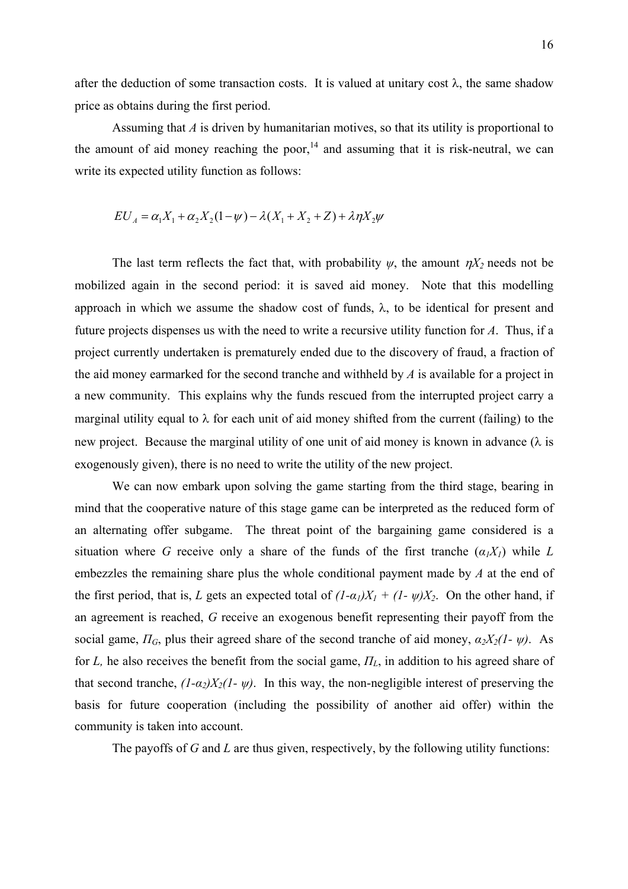after the deduction of some transaction costs. It is valued at unitary cost  $\lambda$ , the same shadow price as obtains during the first period.

Assuming that *A* is driven by humanitarian motives, so that its utility is proportional to the amount of aid money reaching the poor, $14$  and assuming that it is risk-neutral, we can write its expected utility function as follows:

$$
EU_{A} = \alpha_1 X_1 + \alpha_2 X_2 (1 - \psi) - \lambda (X_1 + X_2 + Z) + \lambda \eta X_2 \psi
$$

The last term reflects the fact that, with probability  $\psi$ , the amount  $\eta X_2$  needs not be mobilized again in the second period: it is saved aid money. Note that this modelling approach in which we assume the shadow cost of funds,  $\lambda$ , to be identical for present and future projects dispenses us with the need to write a recursive utility function for *A*. Thus, if a project currently undertaken is prematurely ended due to the discovery of fraud, a fraction of the aid money earmarked for the second tranche and withheld by *A* is available for a project in a new community. This explains why the funds rescued from the interrupted project carry a marginal utility equal to  $\lambda$  for each unit of aid money shifted from the current (failing) to the new project. Because the marginal utility of one unit of aid money is known in advance  $(\lambda)$  is exogenously given), there is no need to write the utility of the new project.

We can now embark upon solving the game starting from the third stage, bearing in mind that the cooperative nature of this stage game can be interpreted as the reduced form of an alternating offer subgame. The threat point of the bargaining game considered is a situation where *G* receive only a share of the funds of the first tranche  $(a_1X_1)$  while *L* embezzles the remaining share plus the whole conditional payment made by *A* at the end of the first period, that is, *L* gets an expected total of  $(I-\alpha_I)X_I + (I-\psi)X_2$ . On the other hand, if an agreement is reached, *G* receive an exogenous benefit representing their payoff from the social game,  $\Pi_G$ , plus their agreed share of the second tranche of aid money,  $\alpha_2 X_2 (1 - \psi)$ . As for *L,* he also receives the benefit from the social game, *ПL*, in addition to his agreed share of that second tranche,  $(I-\alpha_2)X_2(I-\psi)$ . In this way, the non-negligible interest of preserving the basis for future cooperation (including the possibility of another aid offer) within the community is taken into account.

The payoffs of *G* and *L* are thus given, respectively, by the following utility functions: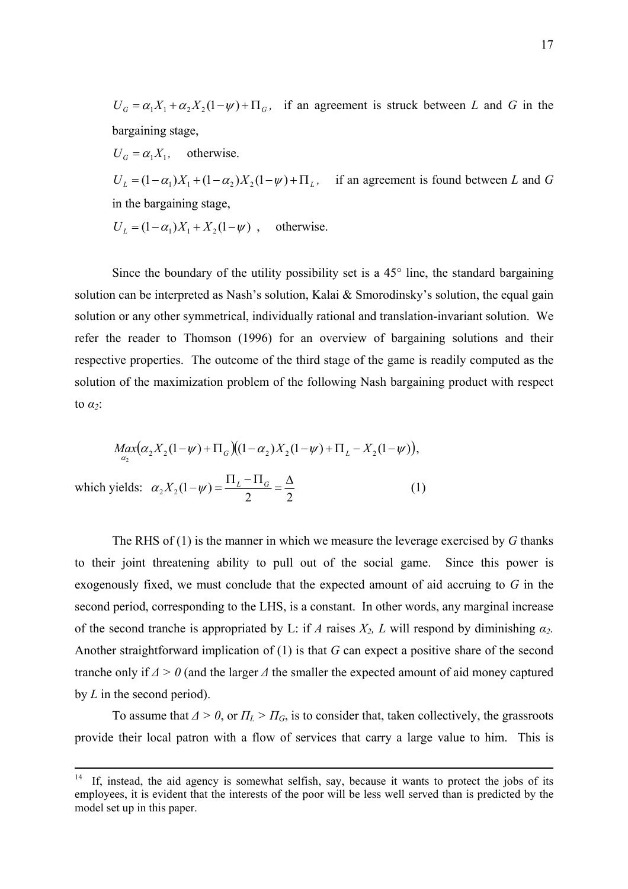$U_G = \alpha_1 X_1 + \alpha_2 X_2 (1 - \psi) + \Pi_G$ , if an agreement is struck between *L* and *G* in the bargaining stage,

 $U_G = \alpha_1 X_1$ , otherwise.

 $U_L = (1 - \alpha_1)X_1 + (1 - \alpha_2)X_2(1 - \psi) + \Pi_L$ , if an agreement is found between *L* and *G* in the bargaining stage,

 $U_1 = (1 - \alpha_1) X_1 + X_2 (1 - \psi)$ , otherwise.

Since the boundary of the utility possibility set is a  $45^\circ$  line, the standard bargaining solution can be interpreted as Nash's solution, Kalai & Smorodinsky's solution, the equal gain solution or any other symmetrical, individually rational and translation-invariant solution. We refer the reader to Thomson (1996) for an overview of bargaining solutions and their respective properties. The outcome of the third stage of the game is readily computed as the solution of the maximization problem of the following Nash bargaining product with respect to *α2*:

$$
M_{\alpha_2}(\alpha_2 X_2(1-\psi) + \Pi_G)(1-\alpha_2)X_2(1-\psi) + \Pi_L - X_2(1-\psi)),
$$
  
which yields:  $\alpha_2 X_2(1-\psi) = \frac{\Pi_L - \Pi_G}{2} = \frac{\Delta}{2}$  (1)

 The RHS of (1) is the manner in which we measure the leverage exercised by *G* thanks to their joint threatening ability to pull out of the social game. Since this power is exogenously fixed, we must conclude that the expected amount of aid accruing to *G* in the second period, corresponding to the LHS, is a constant. In other words, any marginal increase of the second tranche is appropriated by L: if *A* raises  $X_2$ , L will respond by diminishing  $\alpha_2$ . Another straightforward implication of (1) is that *G* can expect a positive share of the second tranche only if *Δ > 0* (and the larger *Δ* the smaller the expected amount of aid money captured by *L* in the second period).

To assume that  $\Delta > 0$ , or  $\Pi_L > \Pi_G$ , is to consider that, taken collectively, the grassroots provide their local patron with a flow of services that carry a large value to him. This is

If, instead, the aid agency is somewhat selfish, say, because it wants to protect the jobs of its employees, it is evident that the interests of the poor will be less well served than is predicted by the model set up in this paper.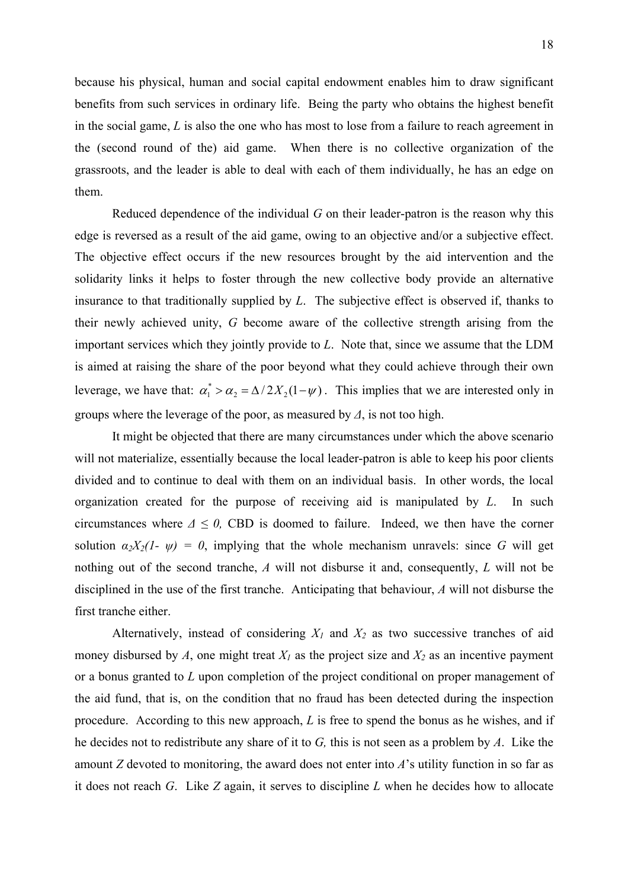because his physical, human and social capital endowment enables him to draw significant benefits from such services in ordinary life. Being the party who obtains the highest benefit in the social game, *L* is also the one who has most to lose from a failure to reach agreement in the (second round of the) aid game. When there is no collective organization of the grassroots, and the leader is able to deal with each of them individually, he has an edge on them.

Reduced dependence of the individual *G* on their leader-patron is the reason why this edge is reversed as a result of the aid game, owing to an objective and/or a subjective effect. The objective effect occurs if the new resources brought by the aid intervention and the solidarity links it helps to foster through the new collective body provide an alternative insurance to that traditionally supplied by *L*. The subjective effect is observed if, thanks to their newly achieved unity, *G* become aware of the collective strength arising from the important services which they jointly provide to *L*. Note that, since we assume that the LDM is aimed at raising the share of the poor beyond what they could achieve through their own leverage, we have that:  $\alpha_1^* > \alpha_2 = \Delta/2X_2(1 - \psi)$ . This implies that we are interested only in groups where the leverage of the poor, as measured by *Δ*, is not too high.

It might be objected that there are many circumstances under which the above scenario will not materialize, essentially because the local leader-patron is able to keep his poor clients divided and to continue to deal with them on an individual basis. In other words, the local organization created for the purpose of receiving aid is manipulated by *L*. In such circumstances where  $\Delta \leq 0$ , CBD is doomed to failure. Indeed, we then have the corner solution  $\alpha_2 X_2 (1 - \psi) = 0$ , implying that the whole mechanism unravels: since *G* will get nothing out of the second tranche, *A* will not disburse it and, consequently, *L* will not be disciplined in the use of the first tranche. Anticipating that behaviour, *A* will not disburse the first tranche either.

Alternatively, instead of considering  $X_1$  and  $X_2$  as two successive tranches of aid money disbursed by  $A$ , one might treat  $X_I$  as the project size and  $X_2$  as an incentive payment or a bonus granted to *L* upon completion of the project conditional on proper management of the aid fund, that is, on the condition that no fraud has been detected during the inspection procedure. According to this new approach, *L* is free to spend the bonus as he wishes, and if he decides not to redistribute any share of it to *G,* this is not seen as a problem by *A*. Like the amount *Z* devoted to monitoring, the award does not enter into *A*'s utility function in so far as it does not reach *G*. Like *Z* again, it serves to discipline *L* when he decides how to allocate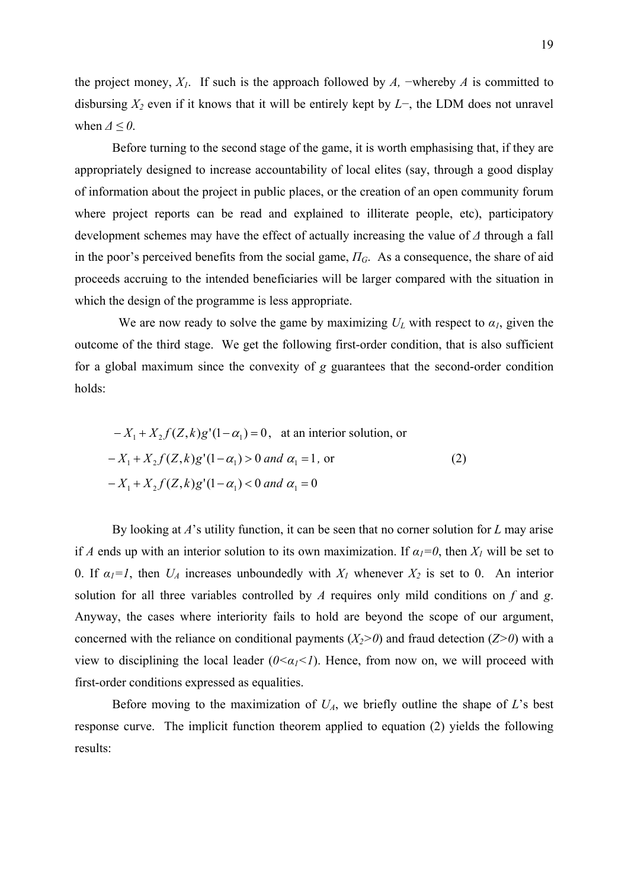the project money, *X1*. If such is the approach followed by *A,* −whereby *A* is committed to disbursing *X2* even if it knows that it will be entirely kept by *L*−, the LDM does not unravel when  $\Delta \leq 0$ .

Before turning to the second stage of the game, it is worth emphasising that, if they are appropriately designed to increase accountability of local elites (say, through a good display of information about the project in public places, or the creation of an open community forum where project reports can be read and explained to illiterate people, etc), participatory development schemes may have the effect of actually increasing the value of *Δ* through a fall in the poor's perceived benefits from the social game, *ПG*. As a consequence, the share of aid proceeds accruing to the intended beneficiaries will be larger compared with the situation in which the design of the programme is less appropriate.

We are now ready to solve the game by maximizing  $U_L$  with respect to  $\alpha_l$ , given the outcome of the third stage. We get the following first-order condition, that is also sufficient for a global maximum since the convexity of *g* guarantees that the second-order condition holds:

$$
-X_1 + X_2 f(Z, k)g'(1 - \alpha_1) = 0, \text{ at an interior solution, or}
$$

$$
-X_1 + X_2 f(Z, k)g'(1 - \alpha_1) > 0 \text{ and } \alpha_1 = 1, \text{ or}
$$

$$
-X_1 + X_2 f(Z, k)g'(1 - \alpha_1) < 0 \text{ and } \alpha_1 = 0
$$
 (2)

By looking at *A*'s utility function, it can be seen that no corner solution for *L* may arise if *A* ends up with an interior solution to its own maximization. If  $\alpha_l = 0$ , then  $X_l$  will be set to 0. If  $\alpha_1 = 1$ , then  $U_A$  increases unboundedly with  $X_I$  whenever  $X_2$  is set to 0. An interior solution for all three variables controlled by *A* requires only mild conditions on *f* and *g*. Anyway, the cases where interiority fails to hold are beyond the scope of our argument, concerned with the reliance on conditional payments  $(X_2>0)$  and fraud detection  $(Z>0)$  with a view to disciplining the local leader  $(0 \le \alpha_1 \le 1)$ . Hence, from now on, we will proceed with first-order conditions expressed as equalities.

Before moving to the maximization of  $U_A$ , we briefly outline the shape of *L*'s best response curve. The implicit function theorem applied to equation (2) yields the following results: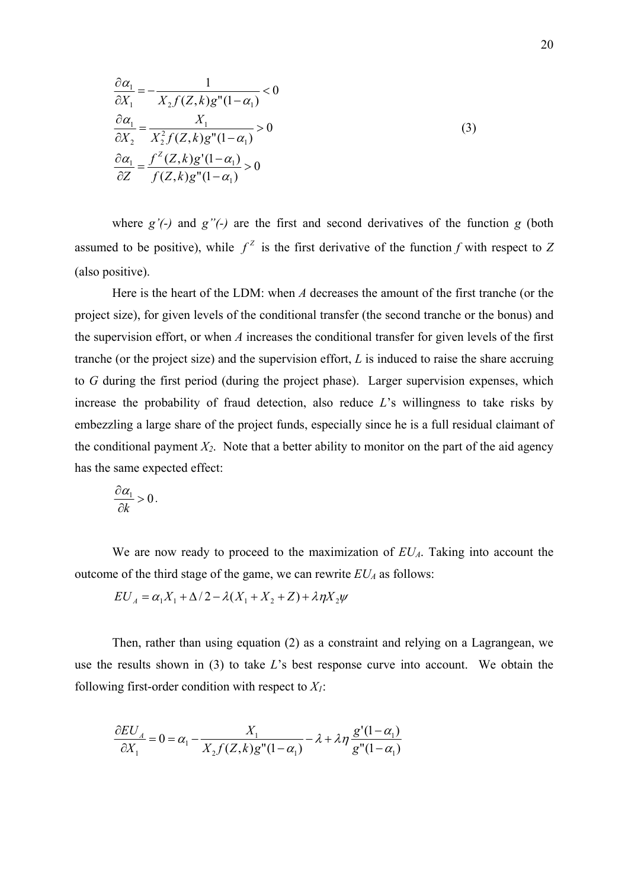$$
\frac{\partial \alpha_1}{\partial X_1} = -\frac{1}{X_2 f(Z, k) g''(1 - \alpha_1)} < 0
$$
  
\n
$$
\frac{\partial \alpha_1}{\partial X_2} = \frac{X_1}{X_2^2 f(Z, k) g''(1 - \alpha_1)} > 0
$$
  
\n
$$
\frac{\partial \alpha_1}{\partial Z} = \frac{f^Z(Z, k) g'(1 - \alpha_1)}{f(Z, k) g''(1 - \alpha_1)} > 0
$$
\n(3)

where *g'(-)* and *g"(-)* are the first and second derivatives of the function *g* (both assumed to be positive), while  $f^2$  is the first derivative of the function *f* with respect to *Z* (also positive).

Here is the heart of the LDM: when *A* decreases the amount of the first tranche (or the project size), for given levels of the conditional transfer (the second tranche or the bonus) and the supervision effort, or when *A* increases the conditional transfer for given levels of the first tranche (or the project size) and the supervision effort, *L* is induced to raise the share accruing to *G* during the first period (during the project phase). Larger supervision expenses, which increase the probability of fraud detection, also reduce *L*'s willingness to take risks by embezzling a large share of the project funds, especially since he is a full residual claimant of the conditional payment  $X_2$ . Note that a better ability to monitor on the part of the aid agency has the same expected effect:

$$
\frac{\partial \alpha_1}{\partial k} > 0.
$$

We are now ready to proceed to the maximization of  $EU<sub>A</sub>$ . Taking into account the outcome of the third stage of the game, we can rewrite  $EU_A$  as follows:

$$
EU_A = \alpha_1 X_1 + \Delta/2 - \lambda(X_1 + X_2 + Z) + \lambda \eta X_2 \psi
$$

Then, rather than using equation (2) as a constraint and relying on a Lagrangean, we use the results shown in (3) to take *L*'s best response curve into account. We obtain the following first-order condition with respect to  $X_l$ :

$$
\frac{\partial EU_A}{\partial X_1} = 0 = \alpha_1 - \frac{X_1}{X_2 f(Z, k) g''(1 - \alpha_1)} - \lambda + \lambda \eta \frac{g'(1 - \alpha_1)}{g''(1 - \alpha_1)}
$$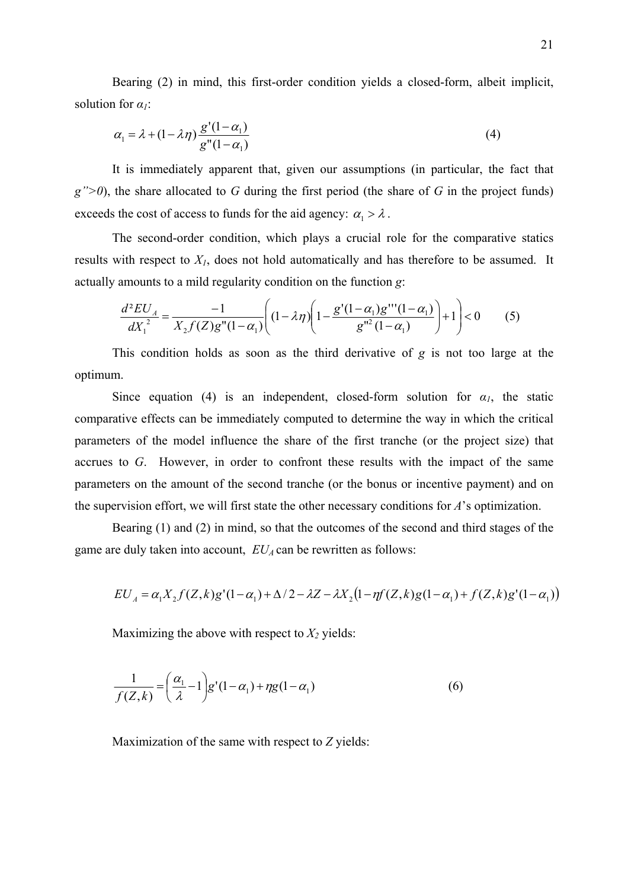Bearing (2) in mind, this first-order condition yields a closed-form, albeit implicit, solution for *α1*:

$$
\alpha_1 = \lambda + (1 - \lambda \eta) \frac{g'(1 - \alpha_1)}{g''(1 - \alpha_1)}\tag{4}
$$

It is immediately apparent that, given our assumptions (in particular, the fact that *g">0*), the share allocated to *G* during the first period (the share of *G* in the project funds) exceeds the cost of access to funds for the aid agency:  $\alpha_1 > \lambda$ .

The second-order condition, which plays a crucial role for the comparative statics results with respect to  $X_I$ , does not hold automatically and has therefore to be assumed. It actually amounts to a mild regularity condition on the function *g*:

$$
\frac{d^2EU_A}{dX_1^2} = \frac{-1}{X_2 f(Z)g''(1-\alpha_1)} \left( (1-\lambda \eta) \left( 1 - \frac{g'(1-\alpha_1)g'''(1-\alpha_1)}{g''(1-\alpha_1)} \right) + 1 \right) < 0 \tag{5}
$$

This condition holds as soon as the third derivative of *g* is not too large at the optimum.

Since equation (4) is an independent, closed-form solution for  $\alpha_l$ , the static comparative effects can be immediately computed to determine the way in which the critical parameters of the model influence the share of the first tranche (or the project size) that accrues to *G*. However, in order to confront these results with the impact of the same parameters on the amount of the second tranche (or the bonus or incentive payment) and on the supervision effort, we will first state the other necessary conditions for *A*'s optimization.

Bearing (1) and (2) in mind, so that the outcomes of the second and third stages of the game are duly taken into account,  $EU_A$  can be rewritten as follows:

$$
EU_{A} = \alpha_1 X_2 f(Z,k)g'(1-\alpha_1) + \Delta/2 - \lambda Z - \lambda X_2 (1 - \eta f(Z,k)g(1-\alpha_1) + f(Z,k)g'(1-\alpha_1))
$$

Maximizing the above with respect to  $X_2$  yields:

$$
\frac{1}{f(Z,k)} = \left(\frac{\alpha_1}{\lambda} - 1\right) g'(1 - \alpha_1) + \eta g(1 - \alpha_1)
$$
\n(6)

Maximization of the same with respect to *Z* yields: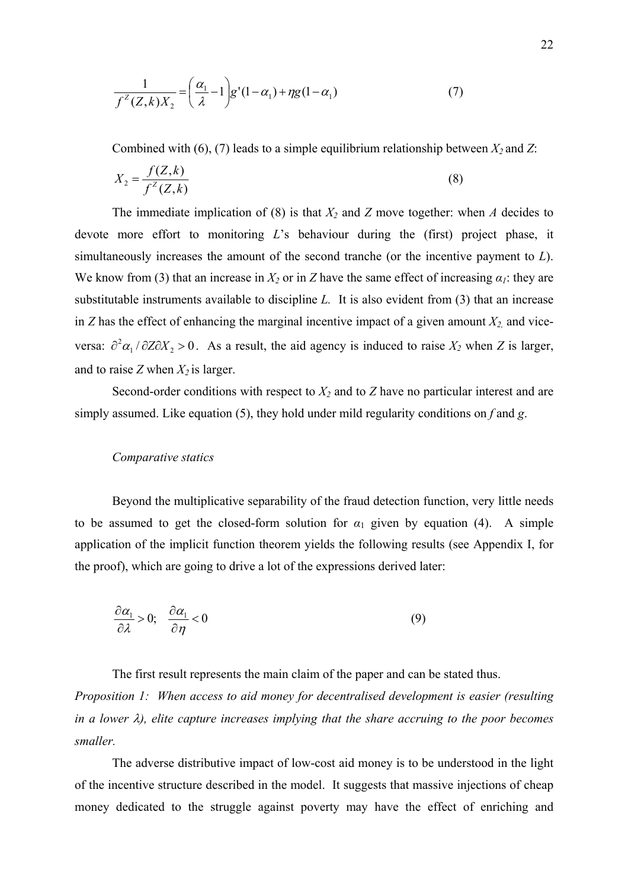$$
\frac{1}{f^Z(Z,k)X_2} = \left(\frac{\alpha_1}{\lambda} - 1\right)g'(1-\alpha_1) + \eta g(1-\alpha_1) \tag{7}
$$

Combined with (6), (7) leads to a simple equilibrium relationship between  $X_2$  and  $Z$ :

$$
X_2 = \frac{f(Z,k)}{f^2(Z,k)}
$$
 (8)

 The immediate implication of (8) is that *X2* and *Z* move together: when *A* decides to devote more effort to monitoring *L*'s behaviour during the (first) project phase, it simultaneously increases the amount of the second tranche (or the incentive payment to *L*). We know from (3) that an increase in  $X_2$  or in *Z* have the same effect of increasing  $\alpha_1$ : they are substitutable instruments available to discipline *L.* It is also evident from (3) that an increase in *Z* has the effect of enhancing the marginal incentive impact of a given amount  $X_2$ , and viceversa:  $\partial^2 \alpha_1 / \partial Z \partial X_2 > 0$ . As a result, the aid agency is induced to raise  $X_2$  when *Z* is larger, and to raise *Z* when  $X_2$  is larger.

Second-order conditions with respect to  $X_2$  and to  $Z$  have no particular interest and are simply assumed. Like equation (5), they hold under mild regularity conditions on *f* and *g*.

# *Comparative statics*

Beyond the multiplicative separability of the fraud detection function, very little needs to be assumed to get the closed-form solution for  $\alpha_1$  given by equation (4). A simple application of the implicit function theorem yields the following results (see Appendix I, for the proof), which are going to drive a lot of the expressions derived later:

$$
\frac{\partial \alpha_1}{\partial \lambda} > 0; \quad \frac{\partial \alpha_1}{\partial \eta} < 0 \tag{9}
$$

The first result represents the main claim of the paper and can be stated thus.

*Proposition 1: When access to aid money for decentralised development is easier (resulting in a lower* λ*), elite capture increases implying that the share accruing to the poor becomes smaller.* 

The adverse distributive impact of low-cost aid money is to be understood in the light of the incentive structure described in the model. It suggests that massive injections of cheap money dedicated to the struggle against poverty may have the effect of enriching and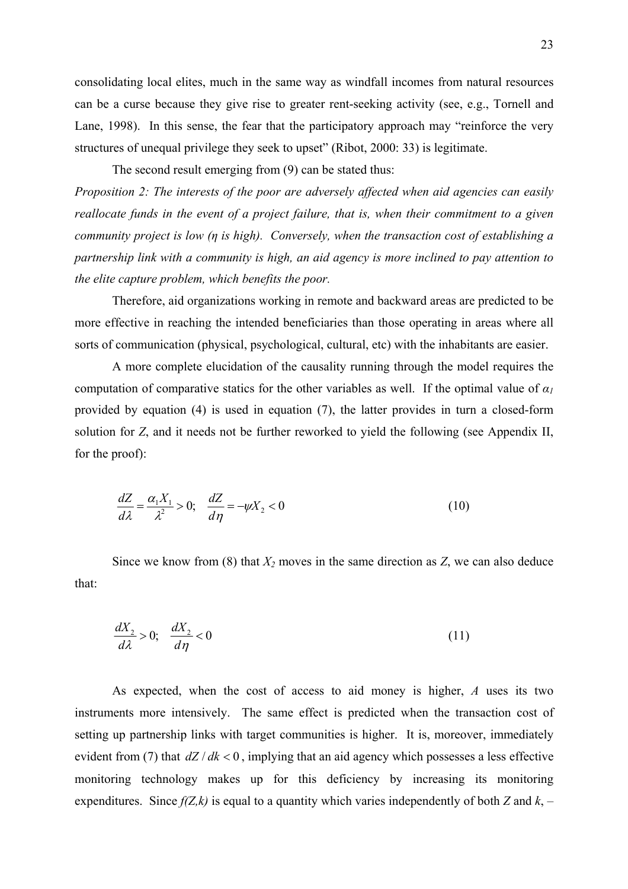consolidating local elites, much in the same way as windfall incomes from natural resources can be a curse because they give rise to greater rent-seeking activity (see, e.g., Tornell and Lane, 1998). In this sense, the fear that the participatory approach may "reinforce the very structures of unequal privilege they seek to upset" (Ribot, 2000: 33) is legitimate.

The second result emerging from (9) can be stated thus:

*Proposition 2: The interests of the poor are adversely affected when aid agencies can easily reallocate funds in the event of a project failure, that is, when their commitment to a given community project is low (η is high). Conversely, when the transaction cost of establishing a partnership link with a community is high, an aid agency is more inclined to pay attention to the elite capture problem, which benefits the poor.* 

Therefore, aid organizations working in remote and backward areas are predicted to be more effective in reaching the intended beneficiaries than those operating in areas where all sorts of communication (physical, psychological, cultural, etc) with the inhabitants are easier.

A more complete elucidation of the causality running through the model requires the computation of comparative statics for the other variables as well. If the optimal value of  $\alpha_l$ provided by equation (4) is used in equation (7), the latter provides in turn a closed-form solution for *Z*, and it needs not be further reworked to yield the following (see Appendix II, for the proof):

$$
\frac{dZ}{d\lambda} = \frac{\alpha_1 X_1}{\lambda^2} > 0; \quad \frac{dZ}{d\eta} = -\psi X_2 < 0
$$
\n(10)

Since we know from (8) that  $X_2$  moves in the same direction as  $Z$ , we can also deduce that:

$$
\frac{dX_2}{d\lambda} > 0; \quad \frac{dX_2}{d\eta} < 0 \tag{11}
$$

As expected, when the cost of access to aid money is higher, *A* uses its two instruments more intensively. The same effect is predicted when the transaction cost of setting up partnership links with target communities is higher. It is, moreover, immediately evident from (7) that *dZ* / *dk* < 0 , implying that an aid agency which possesses a less effective monitoring technology makes up for this deficiency by increasing its monitoring expenditures. Since  $f(Z,k)$  is equal to a quantity which varies independently of both *Z* and  $k$ , –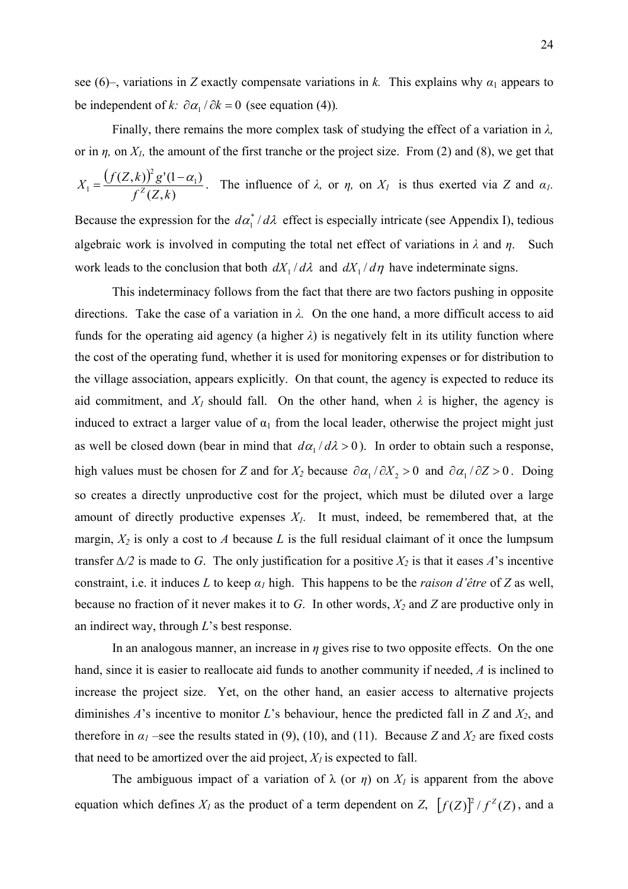see (6)–, variations in *Z* exactly compensate variations in *k*. This explains why  $\alpha_1$  appears to be independent of *k*:  $\partial \alpha_1 / \partial k = 0$  (see equation (4)).

 Finally, there remains the more complex task of studying the effect of a variation in *λ,* or in  $\eta$ , on  $X_l$ , the amount of the first tranche or the project size. From (2) and (8), we get that  $(f(Z,k))$  $(Z, k)$  $(Z, k)$ <sup>2</sup> g'(1- $\alpha$ <sub>1</sub>)  $X_1 = \frac{(f(Z,k))^2 g'(1-\alpha_1)}{f^Z(Z,k)}$ . The influence of  $\lambda$ , or  $\eta$ , on  $X_1$  is thus exerted via *Z* and  $\alpha_1$ .

Because the expression for the  $d\alpha_1^* / d\lambda$  effect is especially intricate (see Appendix I), tedious algebraic work is involved in computing the total net effect of variations in  $\lambda$  and  $\eta$ . Such work leads to the conclusion that both  $dX_1/d\lambda$  and  $dX_1/d\eta$  have indeterminate signs.

 This indeterminacy follows from the fact that there are two factors pushing in opposite directions. Take the case of a variation in *λ.* On the one hand, a more difficult access to aid funds for the operating aid agency (a higher  $\lambda$ ) is negatively felt in its utility function where the cost of the operating fund, whether it is used for monitoring expenses or for distribution to the village association, appears explicitly. On that count, the agency is expected to reduce its aid commitment, and  $X_l$  should fall. On the other hand, when  $\lambda$  is higher, the agency is induced to extract a larger value of  $\alpha_1$  from the local leader, otherwise the project might just as well be closed down (bear in mind that  $d\alpha_1 / d\lambda > 0$ ). In order to obtain such a response, high values must be chosen for *Z* and for  $X_2$  because  $\partial \alpha_1 / \partial X_2 > 0$  and  $\partial \alpha_1 / \partial Z > 0$ . Doing so creates a directly unproductive cost for the project, which must be diluted over a large amount of directly productive expenses  $X_l$ . It must, indeed, be remembered that, at the margin,  $X_2$  is only a cost to *A* because *L* is the full residual claimant of it once the lumpsum transfer  $\Delta/2$  is made to *G*. The only justification for a positive  $X_2$  is that it eases *A*'s incentive constraint, i.e. it induces *L* to keep  $\alpha_l$  high. This happens to be the *raison d'être* of *Z* as well, because no fraction of it never makes it to *G*. In other words, *X2* and *Z* are productive only in an indirect way, through *L*'s best response.

 In an analogous manner, an increase in *η* gives rise to two opposite effects. On the one hand, since it is easier to reallocate aid funds to another community if needed, *A* is inclined to increase the project size. Yet, on the other hand, an easier access to alternative projects diminishes *A*'s incentive to monitor *L*'s behaviour, hence the predicted fall in *Z* and *X2*, and therefore in  $\alpha_1$  –see the results stated in (9), (10), and (11). Because *Z* and  $X_2$  are fixed costs that need to be amortized over the aid project,  $X_l$  is expected to fall.

The ambiguous impact of a variation of  $\lambda$  (or  $\eta$ ) on  $X_I$  is apparent from the above equation which defines  $X_l$  as the product of a term dependent on *Z*,  $[f(Z)]^2/f^2(Z)$ , and a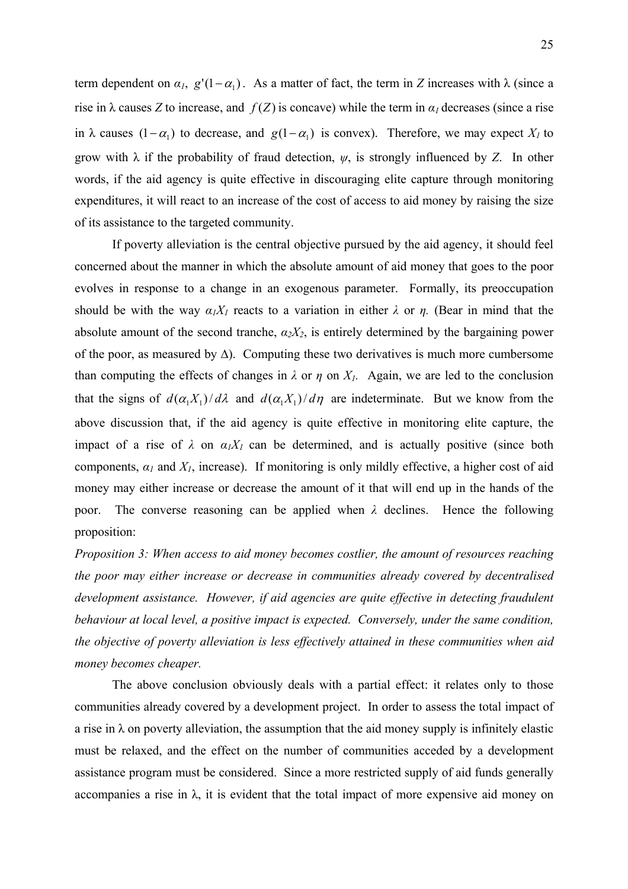term dependent on  $\alpha_l$ ,  $g'(1-\alpha_1)$ . As a matter of fact, the term in *Z* increases with  $\lambda$  (since a rise in  $\lambda$  causes *Z* to increase, and  $f(Z)$  is concave) while the term in  $\alpha<sub>l</sub>$  decreases (since a rise in  $\lambda$  causes  $(1 - \alpha_1)$  to decrease, and  $g(1 - \alpha_1)$  is convex). Therefore, we may expect  $X_i$  to grow with λ if the probability of fraud detection, *ψ*, is strongly influenced by *Z*. In other words, if the aid agency is quite effective in discouraging elite capture through monitoring expenditures, it will react to an increase of the cost of access to aid money by raising the size of its assistance to the targeted community.

 If poverty alleviation is the central objective pursued by the aid agency, it should feel concerned about the manner in which the absolute amount of aid money that goes to the poor evolves in response to a change in an exogenous parameter. Formally, its preoccupation should be with the way  $\alpha_1 X_1$  reacts to a variation in either  $\lambda$  or  $\eta$ . (Bear in mind that the absolute amount of the second tranche,  $\alpha_2 X_2$ , is entirely determined by the bargaining power of the poor, as measured by ∆). Computing these two derivatives is much more cumbersome than computing the effects of changes in  $\lambda$  or  $\eta$  on  $X_l$ . Again, we are led to the conclusion that the signs of  $d(\alpha_1 X_1)/d\lambda$  and  $d(\alpha_1 X_1)/d\eta$  are indeterminate. But we know from the above discussion that, if the aid agency is quite effective in monitoring elite capture, the impact of a rise of  $\lambda$  on  $\alpha_1 X_1$  can be determined, and is actually positive (since both components,  $\alpha_l$  and  $X_l$ , increase). If monitoring is only mildly effective, a higher cost of aid money may either increase or decrease the amount of it that will end up in the hands of the poor. The converse reasoning can be applied when *λ* declines. Hence the following proposition:

*Proposition 3: When access to aid money becomes costlier, the amount of resources reaching the poor may either increase or decrease in communities already covered by decentralised development assistance. However, if aid agencies are quite effective in detecting fraudulent behaviour at local level, a positive impact is expected. Conversely, under the same condition, the objective of poverty alleviation is less effectively attained in these communities when aid money becomes cheaper.* 

The above conclusion obviously deals with a partial effect: it relates only to those communities already covered by a development project. In order to assess the total impact of a rise in  $\lambda$  on poverty alleviation, the assumption that the aid money supply is infinitely elastic must be relaxed, and the effect on the number of communities acceded by a development assistance program must be considered. Since a more restricted supply of aid funds generally accompanies a rise in  $\lambda$ , it is evident that the total impact of more expensive aid money on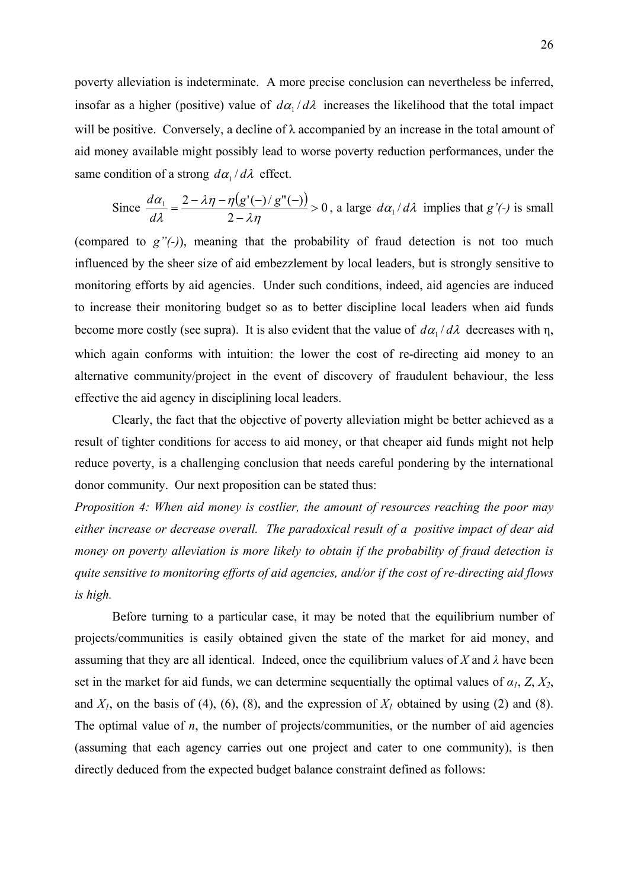poverty alleviation is indeterminate. A more precise conclusion can nevertheless be inferred, insofar as a higher (positive) value of  $d\alpha_1 / d\lambda$  increases the likelihood that the total impact will be positive. Conversely, a decline of  $\lambda$  accompanied by an increase in the total amount of aid money available might possibly lead to worse poverty reduction performances, under the same condition of a strong  $d\alpha_1 / d\lambda$  effect.

Since 
$$
\frac{d\alpha_1}{d\lambda} = \frac{2 - \lambda \eta - \eta(g'(-)/g''(-))}{2 - \lambda \eta} > 0
$$
, a large  $d\alpha_1/d\lambda$  implies that  $g'(-)$  is small

(compared to *g"(-)*), meaning that the probability of fraud detection is not too much influenced by the sheer size of aid embezzlement by local leaders, but is strongly sensitive to monitoring efforts by aid agencies. Under such conditions, indeed, aid agencies are induced to increase their monitoring budget so as to better discipline local leaders when aid funds become more costly (see supra). It is also evident that the value of  $d\alpha_1 / d\lambda$  decreases with  $\eta$ , which again conforms with intuition: the lower the cost of re-directing aid money to an alternative community/project in the event of discovery of fraudulent behaviour, the less effective the aid agency in disciplining local leaders.

Clearly, the fact that the objective of poverty alleviation might be better achieved as a result of tighter conditions for access to aid money, or that cheaper aid funds might not help reduce poverty, is a challenging conclusion that needs careful pondering by the international donor community. Our next proposition can be stated thus:

*Proposition 4: When aid money is costlier, the amount of resources reaching the poor may either increase or decrease overall. The paradoxical result of a positive impact of dear aid money on poverty alleviation is more likely to obtain if the probability of fraud detection is quite sensitive to monitoring efforts of aid agencies, and/or if the cost of re-directing aid flows is high.*

 Before turning to a particular case, it may be noted that the equilibrium number of projects/communities is easily obtained given the state of the market for aid money, and assuming that they are all identical. Indeed, once the equilibrium values of *X* and  $\lambda$  have been set in the market for aid funds, we can determine sequentially the optimal values of  $\alpha_1$ ,  $\alpha_2$ ,  $\alpha_3$ , and  $X_1$ , on the basis of (4), (6), (8), and the expression of  $X_1$  obtained by using (2) and (8). The optimal value of *n*, the number of projects/communities, or the number of aid agencies (assuming that each agency carries out one project and cater to one community), is then directly deduced from the expected budget balance constraint defined as follows: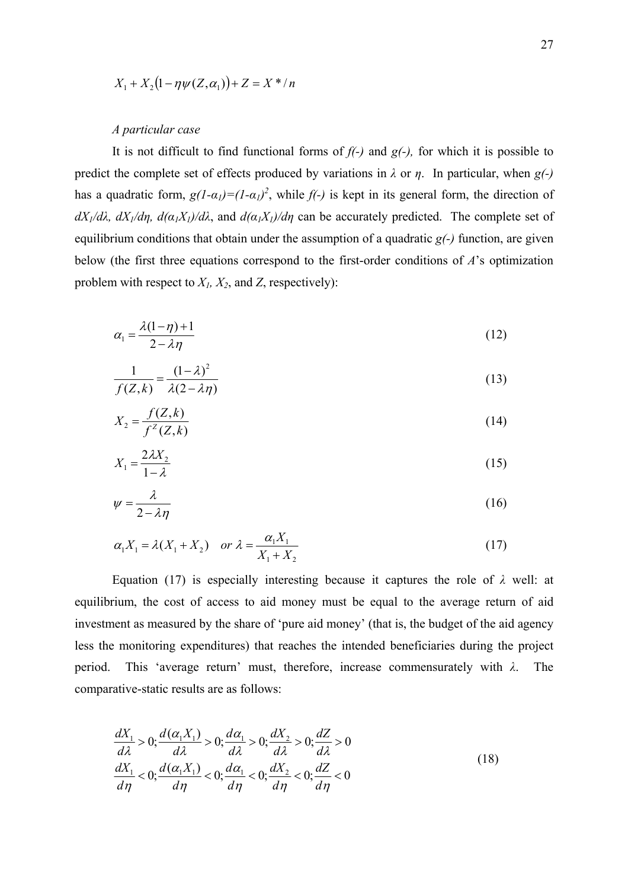$$
X_1 + X_2(1 - \eta \psi(Z, \alpha_1)) + Z = X^* / n
$$

# *A particular case*

 It is not difficult to find functional forms of *f(-)* and *g(-),* for which it is possible to predict the complete set of effects produced by variations in  $\lambda$  or  $\eta$ . In particular, when *g(-)* has a quadratic form,  $g(1-\alpha_1)=(1-\alpha_1)^2$ , while  $f(-)$  is kept in its general form, the direction of *dX<sub>1</sub>/dλ, dX<sub>1</sub>/dη, d(* $α_1X_1$ *)/dλ*, and  $d(α_1X_1)/dη$  can be accurately predicted. The complete set of equilibrium conditions that obtain under the assumption of a quadratic *g(-)* function, are given below (the first three equations correspond to the first-order conditions of *A*'s optimization problem with respect to *X1, X2*, and *Z*, respectively):

$$
\alpha_1 = \frac{\lambda(1-\eta)+1}{2-\lambda\eta} \tag{12}
$$

$$
\frac{1}{f(Z,k)} = \frac{(1-\lambda)^2}{\lambda(2-\lambda\eta)}
$$
(13)

$$
X_2 = \frac{f(Z,k)}{f^Z(Z,k)}\tag{14}
$$

$$
X_1 = \frac{2\lambda X_2}{1 - \lambda} \tag{15}
$$

$$
\psi = \frac{\lambda}{2 - \lambda \eta} \tag{16}
$$

$$
\alpha_1 X_1 = \lambda (X_1 + X_2) \quad \text{or } \lambda = \frac{\alpha_1 X_1}{X_1 + X_2} \tag{17}
$$

Equation (17) is especially interesting because it captures the role of *λ* well: at equilibrium, the cost of access to aid money must be equal to the average return of aid investment as measured by the share of 'pure aid money' (that is, the budget of the aid agency less the monitoring expenditures) that reaches the intended beneficiaries during the project period. This 'average return' must, therefore, increase commensurately with *λ*. The comparative-static results are as follows:

$$
\frac{dX_1}{d\lambda} > 0; \frac{d(\alpha_1 X_1)}{d\lambda} > 0; \frac{d\alpha_1}{d\lambda} > 0; \frac{dX_2}{d\lambda} > 0; \frac{dZ}{d\lambda} > 0
$$
\n
$$
\frac{dX_1}{d\eta} < 0; \frac{d(\alpha_1 X_1)}{d\eta} < 0; \frac{d\alpha_1}{d\eta} < 0; \frac{dX_2}{d\eta} < 0; \frac{dZ}{d\eta} < 0
$$
\n(18)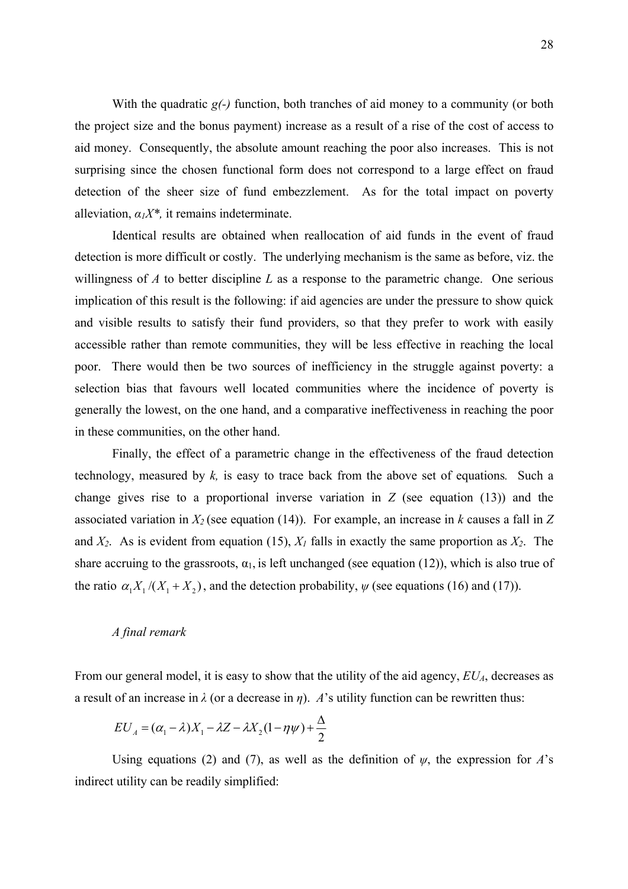With the quadratic *g*(-) function, both tranches of aid money to a community (or both the project size and the bonus payment) increase as a result of a rise of the cost of access to aid money. Consequently, the absolute amount reaching the poor also increases. This is not surprising since the chosen functional form does not correspond to a large effect on fraud detection of the sheer size of fund embezzlement. As for the total impact on poverty alleviation,  $\alpha_1 X^*$ , it remains indeterminate.

Identical results are obtained when reallocation of aid funds in the event of fraud detection is more difficult or costly. The underlying mechanism is the same as before, viz. the willingness of *A* to better discipline *L* as a response to the parametric change. One serious implication of this result is the following: if aid agencies are under the pressure to show quick and visible results to satisfy their fund providers, so that they prefer to work with easily accessible rather than remote communities, they will be less effective in reaching the local poor. There would then be two sources of inefficiency in the struggle against poverty: a selection bias that favours well located communities where the incidence of poverty is generally the lowest, on the one hand, and a comparative ineffectiveness in reaching the poor in these communities, on the other hand.

Finally, the effect of a parametric change in the effectiveness of the fraud detection technology, measured by *k,* is easy to trace back from the above set of equations*.* Such a change gives rise to a proportional inverse variation in *Z* (see equation (13)) and the associated variation in *X2* (see equation (14)). For example, an increase in *k* causes a fall in *Z* and  $X_2$ . As is evident from equation (15),  $X_1$  falls in exactly the same proportion as  $X_2$ . The share accruing to the grassroots,  $\alpha_1$ , is left unchanged (see equation (12)), which is also true of the ratio  $\alpha_1 X_1 / (X_1 + X_2)$ , and the detection probability,  $\psi$  (see equations (16) and (17)).

# *A final remark*

From our general model, it is easy to show that the utility of the aid agency,  $EU<sub>A</sub>$ , decreases as a result of an increase in  $\lambda$  (or a decrease in  $\eta$ ). *A*'s utility function can be rewritten thus:

$$
EU_A = (\alpha_1 - \lambda)X_1 - \lambda Z - \lambda X_2(1 - \eta \psi) + \frac{\Delta}{2}
$$

Using equations (2) and (7), as well as the definition of  $\psi$ , the expression for *A*'s indirect utility can be readily simplified: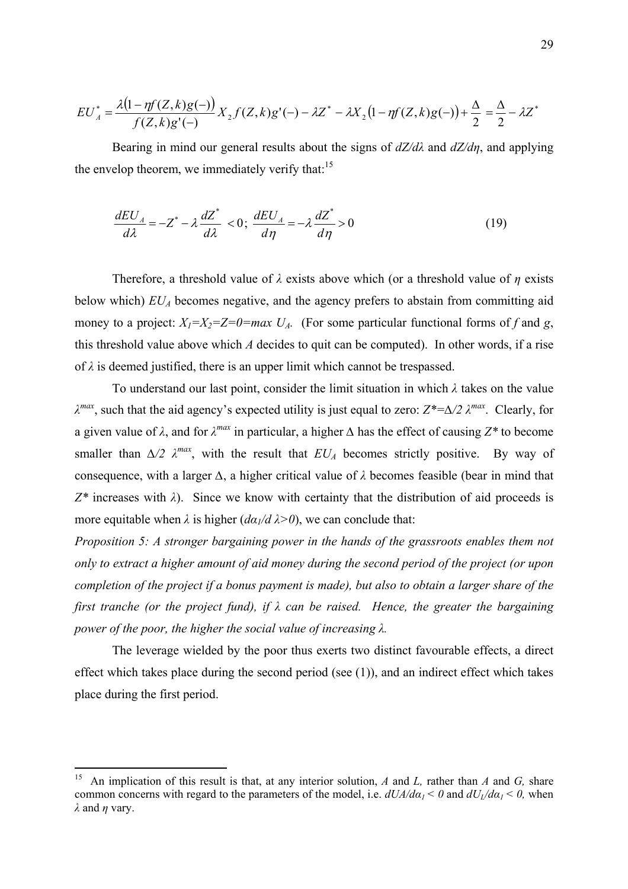$$
EU_A^* = \frac{\lambda (1 - \eta f(Z, k)g(-))}{f(Z, k)g'(-)} X_2 f(Z, k)g'(-) - \lambda Z^* - \lambda X_2 (1 - \eta f(Z, k)g(-)) + \frac{\Delta}{2} = \frac{\Delta}{2} - \lambda Z^*
$$

Bearing in mind our general results about the signs of *dZ/dλ* and *dZ/dη*, and applying the envelop theorem, we immediately verify that: $15$ 

$$
\frac{dEU_A}{d\lambda} = -Z^* - \lambda \frac{dZ^*}{d\lambda} < 0; \quad \frac{dEU_A}{d\eta} = -\lambda \frac{dZ^*}{d\eta} > 0 \tag{19}
$$

Therefore, a threshold value of *λ* exists above which (or a threshold value of *η* exists below which)  $EU<sub>A</sub>$  becomes negative, and the agency prefers to abstain from committing aid money to a project:  $X_1 = X_2 = Z = 0 = max$   $U_A$ . (For some particular functional forms of f and *g*, this threshold value above which *A* decides to quit can be computed). In other words, if a rise of *λ* is deemed justified, there is an upper limit which cannot be trespassed.

 To understand our last point, consider the limit situation in which *λ* takes on the value *λ max*, such that the aid agency's expected utility is just equal to zero: *Z\*=∆/2 λ max*. Clearly, for a given value of  $\lambda$ , and for  $\lambda^{max}$  in particular, a higher  $\Delta$  has the effect of causing  $Z^*$  to become smaller than  $\Delta/2$   $\lambda^{max}$ , with the result that  $EU_A$  becomes strictly positive. By way of consequence, with a larger *∆*, a higher critical value of *λ* becomes feasible (bear in mind that *Z\** increases with *λ*). Since we know with certainty that the distribution of aid proceeds is more equitable when  $\lambda$  is higher  $(d\alpha_1/d \lambda > 0)$ , we can conclude that:

*Proposition 5: A stronger bargaining power in the hands of the grassroots enables them not only to extract a higher amount of aid money during the second period of the project (or upon completion of the project if a bonus payment is made), but also to obtain a larger share of the first tranche (or the project fund), if λ can be raised. Hence, the greater the bargaining power of the poor, the higher the social value of increasing λ.*

The leverage wielded by the poor thus exerts two distinct favourable effects, a direct effect which takes place during the second period (see (1)), and an indirect effect which takes place during the first period.

 $\overline{a}$ 

<sup>15</sup> An implication of this result is that, at any interior solution, *A* and *L,* rather than *A* and *G,* share common concerns with regard to the parameters of the model, i.e.  $dU_A/da_I < 0$  and  $dU_I/da_I < 0$ , when *λ* and *η* vary.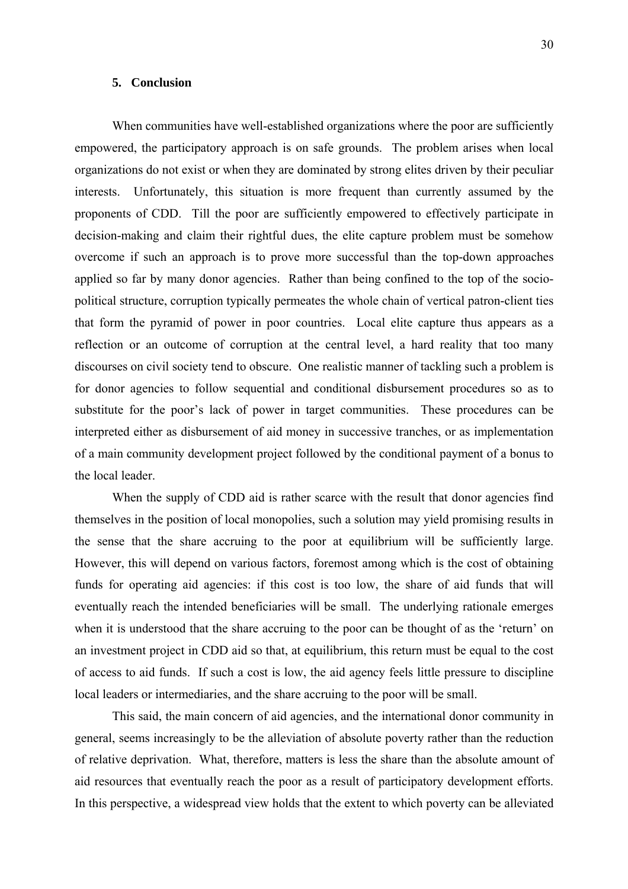## **5. Conclusion**

When communities have well-established organizations where the poor are sufficiently empowered, the participatory approach is on safe grounds. The problem arises when local organizations do not exist or when they are dominated by strong elites driven by their peculiar interests. Unfortunately, this situation is more frequent than currently assumed by the proponents of CDD. Till the poor are sufficiently empowered to effectively participate in decision-making and claim their rightful dues, the elite capture problem must be somehow overcome if such an approach is to prove more successful than the top-down approaches applied so far by many donor agencies. Rather than being confined to the top of the sociopolitical structure, corruption typically permeates the whole chain of vertical patron-client ties that form the pyramid of power in poor countries. Local elite capture thus appears as a reflection or an outcome of corruption at the central level, a hard reality that too many discourses on civil society tend to obscure. One realistic manner of tackling such a problem is for donor agencies to follow sequential and conditional disbursement procedures so as to substitute for the poor's lack of power in target communities. These procedures can be interpreted either as disbursement of aid money in successive tranches, or as implementation of a main community development project followed by the conditional payment of a bonus to the local leader.

When the supply of CDD aid is rather scarce with the result that donor agencies find themselves in the position of local monopolies, such a solution may yield promising results in the sense that the share accruing to the poor at equilibrium will be sufficiently large. However, this will depend on various factors, foremost among which is the cost of obtaining funds for operating aid agencies: if this cost is too low, the share of aid funds that will eventually reach the intended beneficiaries will be small. The underlying rationale emerges when it is understood that the share accruing to the poor can be thought of as the 'return' on an investment project in CDD aid so that, at equilibrium, this return must be equal to the cost of access to aid funds. If such a cost is low, the aid agency feels little pressure to discipline local leaders or intermediaries, and the share accruing to the poor will be small.

This said, the main concern of aid agencies, and the international donor community in general, seems increasingly to be the alleviation of absolute poverty rather than the reduction of relative deprivation. What, therefore, matters is less the share than the absolute amount of aid resources that eventually reach the poor as a result of participatory development efforts. In this perspective, a widespread view holds that the extent to which poverty can be alleviated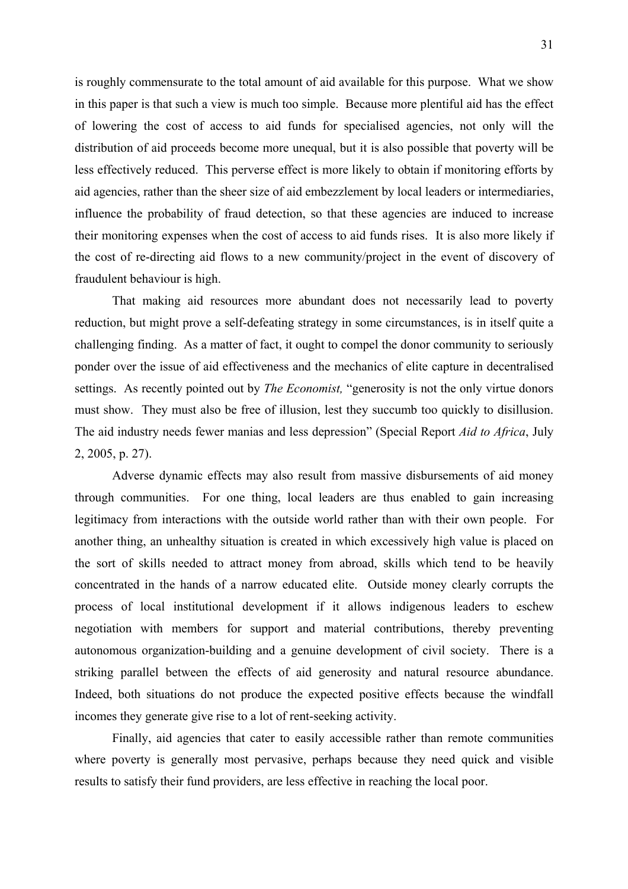is roughly commensurate to the total amount of aid available for this purpose. What we show in this paper is that such a view is much too simple. Because more plentiful aid has the effect of lowering the cost of access to aid funds for specialised agencies, not only will the distribution of aid proceeds become more unequal, but it is also possible that poverty will be less effectively reduced. This perverse effect is more likely to obtain if monitoring efforts by aid agencies, rather than the sheer size of aid embezzlement by local leaders or intermediaries, influence the probability of fraud detection, so that these agencies are induced to increase their monitoring expenses when the cost of access to aid funds rises. It is also more likely if the cost of re-directing aid flows to a new community/project in the event of discovery of fraudulent behaviour is high.

That making aid resources more abundant does not necessarily lead to poverty reduction, but might prove a self-defeating strategy in some circumstances, is in itself quite a challenging finding. As a matter of fact, it ought to compel the donor community to seriously ponder over the issue of aid effectiveness and the mechanics of elite capture in decentralised settings. As recently pointed out by *The Economist,* "generosity is not the only virtue donors must show. They must also be free of illusion, lest they succumb too quickly to disillusion. The aid industry needs fewer manias and less depression" (Special Report *Aid to Africa*, July 2, 2005, p. 27).

Adverse dynamic effects may also result from massive disbursements of aid money through communities. For one thing, local leaders are thus enabled to gain increasing legitimacy from interactions with the outside world rather than with their own people. For another thing, an unhealthy situation is created in which excessively high value is placed on the sort of skills needed to attract money from abroad, skills which tend to be heavily concentrated in the hands of a narrow educated elite. Outside money clearly corrupts the process of local institutional development if it allows indigenous leaders to eschew negotiation with members for support and material contributions, thereby preventing autonomous organization-building and a genuine development of civil society. There is a striking parallel between the effects of aid generosity and natural resource abundance. Indeed, both situations do not produce the expected positive effects because the windfall incomes they generate give rise to a lot of rent-seeking activity.

Finally, aid agencies that cater to easily accessible rather than remote communities where poverty is generally most pervasive, perhaps because they need quick and visible results to satisfy their fund providers, are less effective in reaching the local poor.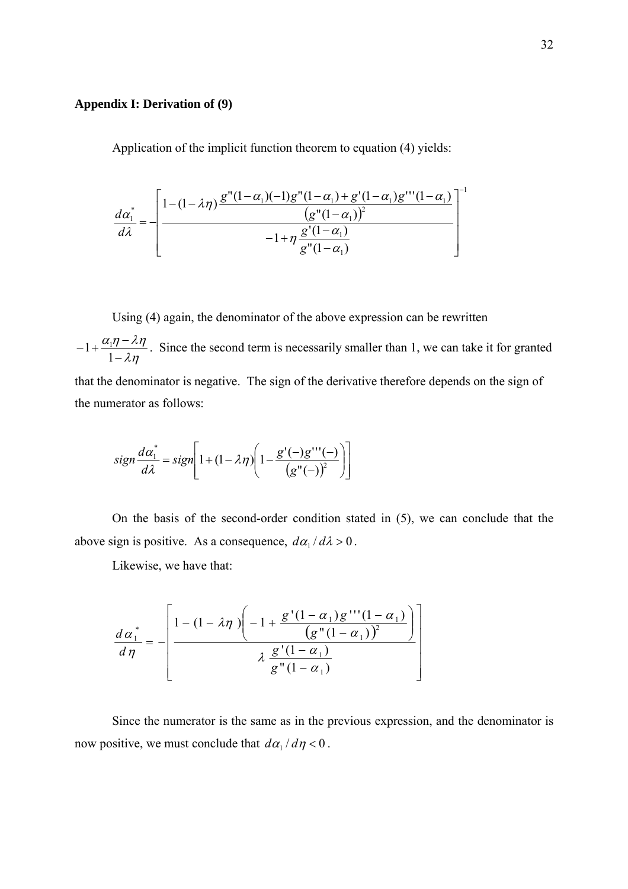# **Appendix I: Derivation of (9)**

Application of the implicit function theorem to equation (4) yields:

$$
\frac{d\alpha_1^*}{d\lambda} = -\left[\frac{1 - (1 - \lambda \eta) \frac{g''(1 - \alpha_1)(-1)g''(1 - \alpha_1) + g'(1 - \alpha_1)g'''(1 - \alpha_1)}{\left(g''(1 - \alpha_1)\right)^2}}{-1 + \eta \frac{g'(1 - \alpha_1)}{g''(1 - \alpha_1)}}\right]^{-1}
$$

 Using (4) again, the denominator of the above expression can be rewritten λη  $\alpha_{1}\eta - \lambda \eta$ −  $-1+\frac{\alpha_1\eta-1}{\sigma}$ 1  $1 + \frac{\alpha_1}{1}$ . Since the second term is necessarily smaller than 1, we can take it for granted that the denominator is negative. The sign of the derivative therefore depends on the sign of the numerator as follows:

$$
sign\frac{d\alpha_1^*}{d\lambda} = sign \left[ 1 + (1 - \lambda \eta) \left( 1 - \frac{g'(-)g'''(-)}{(g''(-))^2} \right) \right]
$$

 On the basis of the second-order condition stated in (5), we can conclude that the above sign is positive. As a consequence,  $d\alpha_1 / d\lambda > 0$ .

Likewise, we have that:

$$
\frac{d\alpha_1^*}{d\eta} = - \left[ \frac{1 - (1 - \lambda \eta) \left( -1 + \frac{g'(1 - \alpha_1) g''(1 - \alpha_1)}{\left(g''(1 - \alpha_1)\right)^2} \right)}{\lambda \frac{g'(1 - \alpha_1)}{g''(1 - \alpha_1)}} \right]
$$

 Since the numerator is the same as in the previous expression, and the denominator is now positive, we must conclude that  $d\alpha_1 / d\eta < 0$ .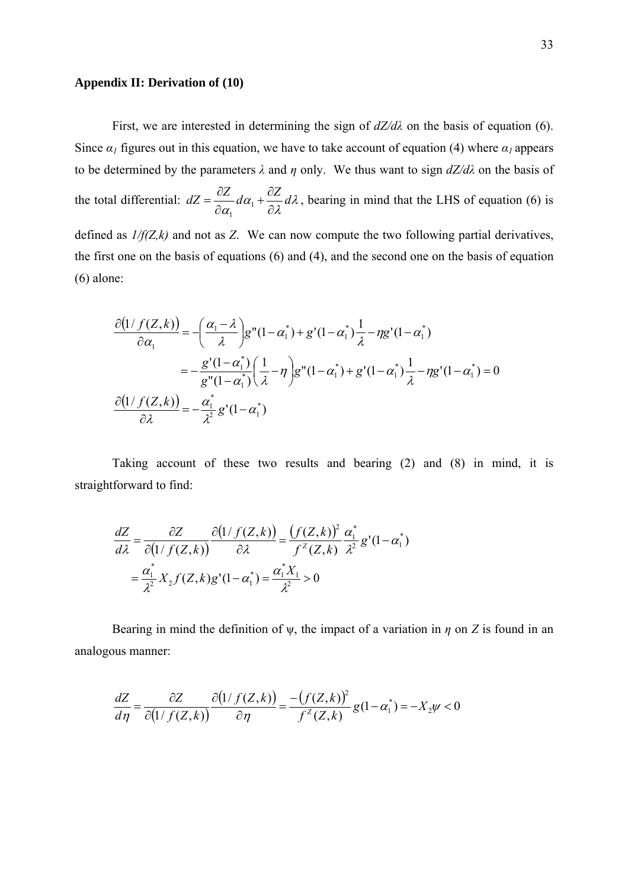### **Appendix II: Derivation of (10)**

First, we are interested in determining the sign of  $dZ/d\lambda$  on the basis of equation (6). Since  $\alpha_l$  figures out in this equation, we have to take account of equation (4) where  $\alpha_l$  appears to be determined by the parameters *λ* and *η* only. We thus want to sign *dZ/dλ* on the basis of the total differential:  $dZ = \frac{\partial Z}{\partial \alpha} d\alpha_1 + \frac{\partial Z}{\partial \lambda} d\lambda$  $dZ = \frac{\partial Z}{\partial \alpha_1} d\alpha_1 + \frac{\partial Z}{\partial \lambda} d$ ∂  $+\frac{\partial}{\partial}$  $=\frac{\partial Z}{\partial \alpha_1}d\alpha_1$ 1 , bearing in mind that the LHS of equation (6) is defined as *1/f(Z,k)* and not as *Z*. We can now compute the two following partial derivatives, the first one on the basis of equations (6) and (4), and the second one on the basis of equation (6) alone:

$$
\frac{\partial (1/f(Z,k))}{\partial \alpha_1} = -\left(\frac{\alpha_1 - \lambda}{\lambda}\right) g''(1 - \alpha_1^*) + g'(1 - \alpha_1^*) \frac{1}{\lambda} - \eta g'(1 - \alpha_1^*)
$$

$$
= -\frac{g'(1 - \alpha_1^*)}{g''(1 - \alpha_1^*)} \left(\frac{1}{\lambda} - \eta\right) g''(1 - \alpha_1^*) + g'(1 - \alpha_1^*) \frac{1}{\lambda} - \eta g'(1 - \alpha_1^*) = 0
$$

$$
\frac{\partial (1/f(Z,k))}{\partial \lambda} = -\frac{\alpha_1^*}{\lambda^2} g'(1 - \alpha_1^*)
$$

 Taking account of these two results and bearing (2) and (8) in mind, it is straightforward to find:

$$
\frac{dZ}{d\lambda} = \frac{\partial Z}{\partial (1/f(Z,k))} \frac{\partial (1/f(Z,k))}{\partial \lambda} = \frac{(f(Z,k))^2}{f^2(Z,k)} \frac{\alpha_1^*}{\lambda^2} g'(1-\alpha_1^*)
$$

$$
= \frac{\alpha_1^*}{\lambda^2} X_2 f(Z,k) g'(1-\alpha_1^*) = \frac{\alpha_1^* X_1}{\lambda^2} > 0
$$

 Bearing in mind the definition of ψ, the impact of a variation in *η* on *Z* is found in an analogous manner:

$$
\frac{dZ}{d\eta} = \frac{\partial Z}{\partial (1/f(Z,k))} \frac{\partial (1/f(Z,k))}{\partial \eta} = \frac{-(f(Z,k))^2}{f^Z(Z,k)} g(1-\alpha_1^*) = -X_2\psi < 0
$$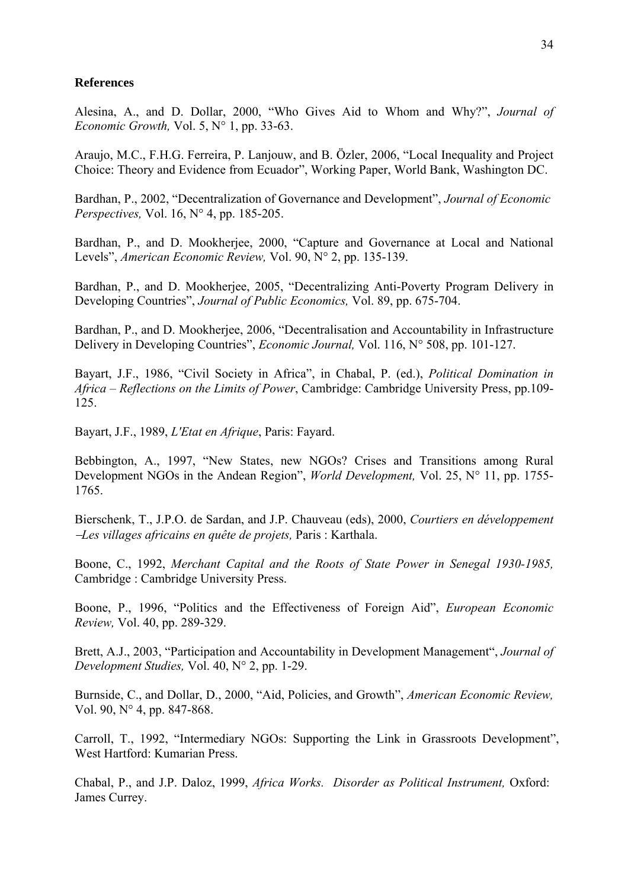# **References**

Alesina, A., and D. Dollar, 2000, "Who Gives Aid to Whom and Why?", *Journal of Economic Growth,* Vol. 5, N° 1, pp. 33-63.

Araujo, M.C., F.H.G. Ferreira, P. Lanjouw, and B. Özler, 2006, "Local Inequality and Project Choice: Theory and Evidence from Ecuador", Working Paper, World Bank, Washington DC.

Bardhan, P., 2002, "Decentralization of Governance and Development", *Journal of Economic Perspectives,* Vol. 16, N° 4, pp. 185-205.

Bardhan, P., and D. Mookherjee, 2000, "Capture and Governance at Local and National Levels", *American Economic Review,* Vol. 90, N° 2, pp. 135-139.

Bardhan, P., and D. Mookherjee, 2005, "Decentralizing Anti-Poverty Program Delivery in Developing Countries", *Journal of Public Economics,* Vol. 89, pp. 675-704.

Bardhan, P., and D. Mookherjee, 2006, "Decentralisation and Accountability in Infrastructure Delivery in Developing Countries", *Economic Journal,* Vol. 116, N° 508, pp. 101-127.

Bayart, J.F., 1986, "Civil Society in Africa", in Chabal, P. (ed.), *Political Domination in Africa – Reflections on the Limits of Power*, Cambridge: Cambridge University Press, pp.109- 125.

Bayart, J.F., 1989, *L'Etat en Afrique*, Paris: Fayard.

Bebbington, A., 1997, "New States, new NGOs? Crises and Transitions among Rural Development NGOs in the Andean Region", *World Development,* Vol. 25, N° 11, pp. 1755- 1765.

Bierschenk, T., J.P.O. de Sardan, and J.P. Chauveau (eds), 2000, *Courtiers en développement*  <sup>−</sup>*Les villages africains en quête de projets,* Paris : Karthala.

Boone, C., 1992, *Merchant Capital and the Roots of State Power in Senegal 1930-1985,*  Cambridge : Cambridge University Press.

Boone, P., 1996, "Politics and the Effectiveness of Foreign Aid", *European Economic Review,* Vol. 40, pp. 289-329.

Brett, A.J., 2003, "Participation and Accountability in Development Management", *Journal of Development Studies,* Vol. 40, N° 2, pp. 1-29.

Burnside, C., and Dollar, D., 2000, "Aid, Policies, and Growth", *American Economic Review,*  Vol. 90, N° 4, pp. 847-868.

Carroll, T., 1992, "Intermediary NGOs: Supporting the Link in Grassroots Development", West Hartford: Kumarian Press.

Chabal, P., and J.P. Daloz, 1999, *Africa Works. Disorder as Political Instrument,* Oxford: James Currey.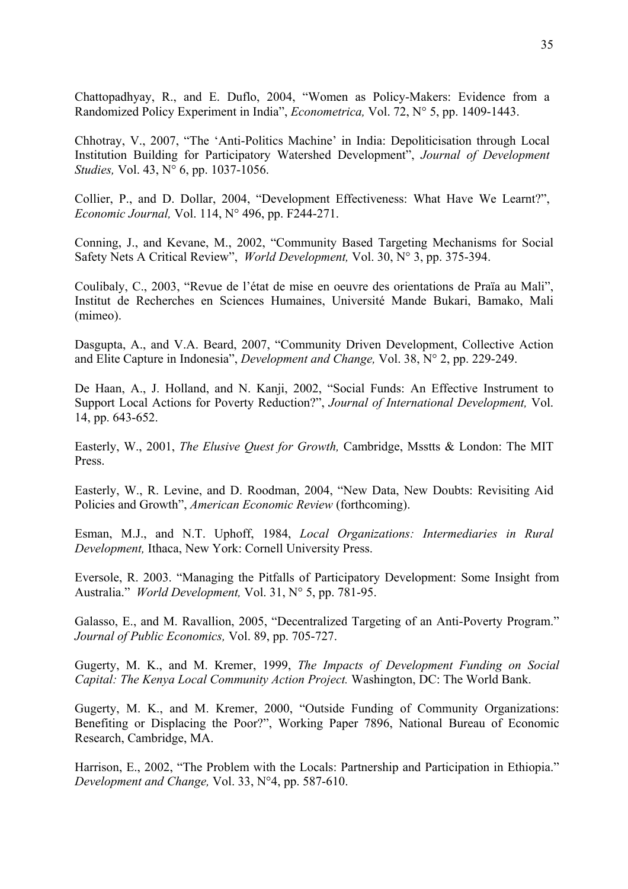Chattopadhyay, R., and E. Duflo, 2004, "Women as Policy-Makers: Evidence from a Randomized Policy Experiment in India", *Econometrica,* Vol. 72, N° 5, pp. 1409-1443.

Chhotray, V., 2007, "The 'Anti-Politics Machine' in India: Depoliticisation through Local Institution Building for Participatory Watershed Development", *Journal of Development Studies,* Vol. 43, N° 6, pp. 1037-1056.

Collier, P., and D. Dollar, 2004, "Development Effectiveness: What Have We Learnt?", *Economic Journal,* Vol. 114, N° 496, pp. F244-271.

Conning, J., and Kevane, M., 2002, "Community Based Targeting Mechanisms for Social Safety Nets A Critical Review", *World Development,* Vol. 30, N° 3, pp. 375-394.

Coulibaly, C., 2003, "Revue de l'état de mise en oeuvre des orientations de Praïa au Mali", Institut de Recherches en Sciences Humaines, Université Mande Bukari, Bamako, Mali (mimeo).

Dasgupta, A., and V.A. Beard, 2007, "Community Driven Development, Collective Action and Elite Capture in Indonesia", *Development and Change,* Vol. 38, N° 2, pp. 229-249.

De Haan, A., J. Holland, and N. Kanji, 2002, "Social Funds: An Effective Instrument to Support Local Actions for Poverty Reduction?", *Journal of International Development,* Vol. 14, pp. 643-652.

Easterly, W., 2001, *The Elusive Quest for Growth,* Cambridge, Msstts & London: The MIT Press.

Easterly, W., R. Levine, and D. Roodman, 2004, "New Data, New Doubts: Revisiting Aid Policies and Growth", *American Economic Review* (forthcoming).

Esman, M.J., and N.T. Uphoff, 1984, *Local Organizations: Intermediaries in Rural Development,* Ithaca, New York: Cornell University Press.

Eversole, R. 2003. "Managing the Pitfalls of Participatory Development: Some Insight from Australia." *World Development,* Vol. 31, N° 5, pp. 781-95.

Galasso, E., and M. Ravallion, 2005, "Decentralized Targeting of an Anti-Poverty Program." *Journal of Public Economics,* Vol. 89, pp. 705-727.

Gugerty, M. K., and M. Kremer, 1999, *The Impacts of Development Funding on Social Capital: The Kenya Local Community Action Project.* Washington, DC: The World Bank.

Gugerty, M. K., and M. Kremer, 2000, "Outside Funding of Community Organizations: Benefiting or Displacing the Poor?", Working Paper 7896, National Bureau of Economic Research, Cambridge, MA.

Harrison, E., 2002, "The Problem with the Locals: Partnership and Participation in Ethiopia." *Development and Change,* Vol. 33, N°4, pp. 587-610.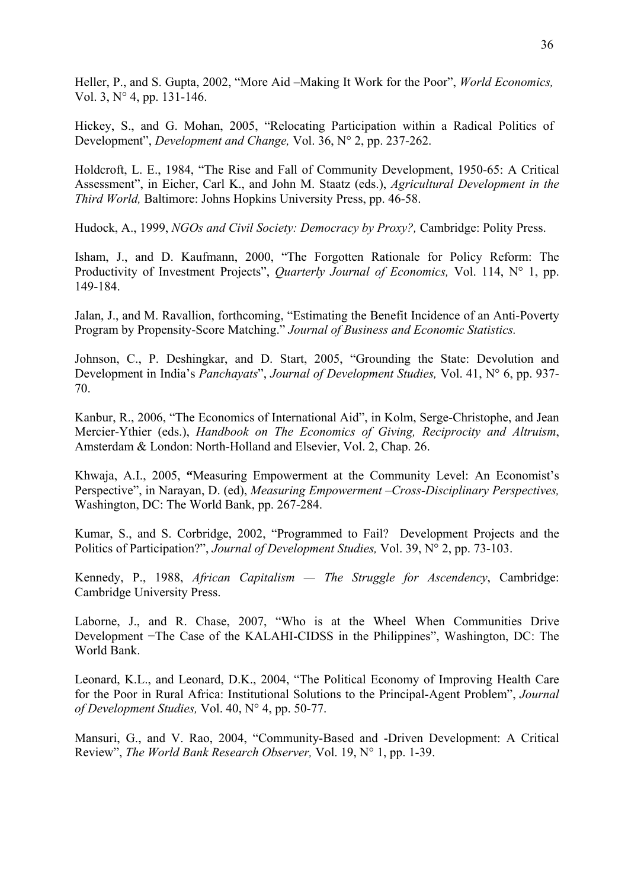Heller, P., and S. Gupta, 2002, "More Aid –Making It Work for the Poor", *World Economics,*  Vol. 3, N° 4, pp. 131-146.

Hickey, S., and G. Mohan, 2005, "Relocating Participation within a Radical Politics of Development", *Development and Change,* Vol. 36, N° 2, pp. 237-262.

Holdcroft, L. E., 1984, "The Rise and Fall of Community Development, 1950-65: A Critical Assessment", in Eicher, Carl K., and John M. Staatz (eds.), *Agricultural Development in the Third World,* Baltimore: Johns Hopkins University Press, pp. 46-58.

Hudock, A., 1999, *NGOs and Civil Society: Democracy by Proxy?,* Cambridge: Polity Press.

Isham, J., and D. Kaufmann, 2000, "The Forgotten Rationale for Policy Reform: The Productivity of Investment Projects", *Quarterly Journal of Economics,* Vol. 114, N° 1, pp. 149-184.

Jalan, J., and M. Ravallion, forthcoming, "Estimating the Benefit Incidence of an Anti-Poverty Program by Propensity-Score Matching." *Journal of Business and Economic Statistics.* 

Johnson, C., P. Deshingkar, and D. Start, 2005, "Grounding the State: Devolution and Development in India's *Panchayats*", *Journal of Development Studies,* Vol. 41, N° 6, pp. 937- 70.

Kanbur, R., 2006, "The Economics of International Aid", in Kolm, Serge-Christophe, and Jean Mercier-Ythier (eds.), *Handbook on The Economics of Giving, Reciprocity and Altruism*, Amsterdam & London: North-Holland and Elsevier, Vol. 2, Chap. 26.

Khwaja, A.I., 2005, **"**Measuring Empowerment at the Community Level: An Economist's Perspective", in Narayan, D. (ed), *Measuring Empowerment –Cross-Disciplinary Perspectives,*  Washington, DC: The World Bank, pp. 267-284.

Kumar, S., and S. Corbridge, 2002, "Programmed to Fail? Development Projects and the Politics of Participation?", *Journal of Development Studies,* Vol. 39, N° 2, pp. 73-103.

Kennedy, P., 1988, *African Capitalism — The Struggle for Ascendency*, Cambridge: Cambridge University Press.

Laborne, J., and R. Chase, 2007, "Who is at the Wheel When Communities Drive Development −The Case of the KALAHI-CIDSS in the Philippines", Washington, DC: The World Bank.

Leonard, K.L., and Leonard, D.K., 2004, "The Political Economy of Improving Health Care for the Poor in Rural Africa: Institutional Solutions to the Principal-Agent Problem", *Journal of Development Studies,* Vol. 40, N° 4, pp. 50-77.

Mansuri, G., and V. Rao, 2004, "Community-Based and -Driven Development: A Critical Review", *The World Bank Research Observer,* Vol. 19, N° 1, pp. 1-39.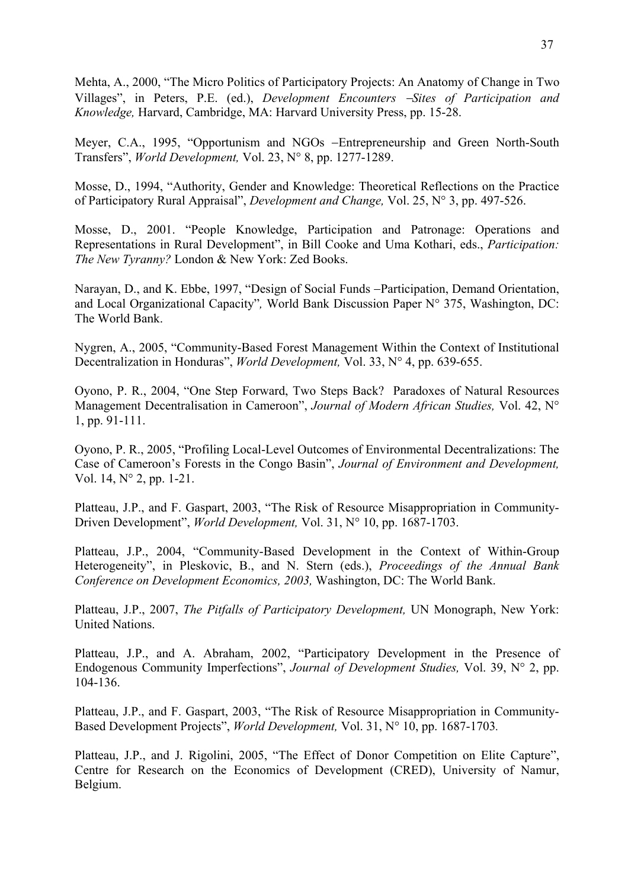Mehta, A., 2000, "The Micro Politics of Participatory Projects: An Anatomy of Change in Two Villages", in Peters, P.E. (ed.), *Development Encounters* −*Sites of Participation and Knowledge,* Harvard, Cambridge, MA: Harvard University Press, pp. 15-28.

Meyer, C.A., 1995, "Opportunism and NGOs −Entrepreneurship and Green North-South Transfers", *World Development,* Vol. 23, N° 8, pp. 1277-1289.

Mosse, D., 1994, "Authority, Gender and Knowledge: Theoretical Reflections on the Practice of Participatory Rural Appraisal", *Development and Change,* Vol. 25, N° 3, pp. 497-526.

Mosse, D., 2001. "People Knowledge, Participation and Patronage: Operations and Representations in Rural Development", in Bill Cooke and Uma Kothari, eds., *Participation: The New Tyranny?* London & New York: Zed Books.

Narayan, D., and K. Ebbe, 1997, "Design of Social Funds −Participation, Demand Orientation, and Local Organizational Capacity"*,* World Bank Discussion Paper N° 375, Washington, DC: The World Bank.

Nygren, A., 2005, "Community-Based Forest Management Within the Context of Institutional Decentralization in Honduras", *World Development,* Vol. 33, N° 4, pp. 639-655.

Oyono, P. R., 2004, "One Step Forward, Two Steps Back? Paradoxes of Natural Resources Management Decentralisation in Cameroon", *Journal of Modern African Studies,* Vol. 42, N° 1, pp. 91-111.

Oyono, P. R., 2005, "Profiling Local-Level Outcomes of Environmental Decentralizations: The Case of Cameroon's Forests in the Congo Basin", *Journal of Environment and Development,*  Vol. 14, N° 2, pp. 1-21.

Platteau, J.P., and F. Gaspart, 2003, "The Risk of Resource Misappropriation in Community-Driven Development", *World Development,* Vol. 31, N° 10, pp. 1687-1703.

Platteau, J.P., 2004, "Community-Based Development in the Context of Within-Group Heterogeneity", in Pleskovic, B., and N. Stern (eds.), *Proceedings of the Annual Bank Conference on Development Economics, 2003,* Washington, DC: The World Bank.

Platteau, J.P., 2007, *The Pitfalls of Participatory Development,* UN Monograph, New York: United Nations.

Platteau, J.P., and A. Abraham, 2002, "Participatory Development in the Presence of Endogenous Community Imperfections", *Journal of Development Studies,* Vol. 39, N° 2, pp. 104-136.

Platteau, J.P., and F. Gaspart, 2003, "The Risk of Resource Misappropriation in Community-Based Development Projects", *World Development,* Vol. 31, N° 10, pp. 1687-1703*.* 

Platteau, J.P., and J. Rigolini, 2005, "The Effect of Donor Competition on Elite Capture", Centre for Research on the Economics of Development (CRED), University of Namur, Belgium.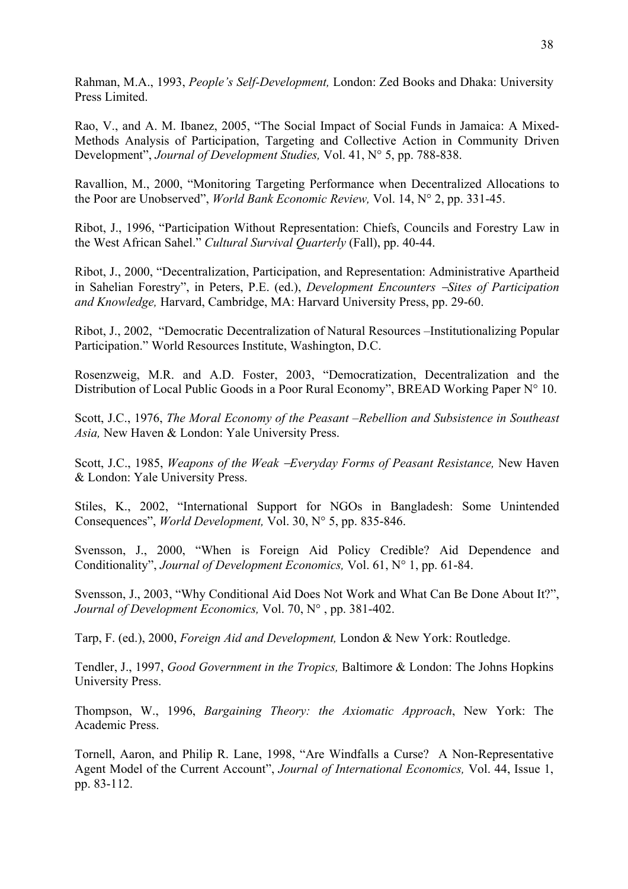Rahman, M.A., 1993, *People's Self-Development,* London: Zed Books and Dhaka: University Press Limited.

Rao, V., and A. M. Ibanez, 2005, "The Social Impact of Social Funds in Jamaica: A Mixed-Methods Analysis of Participation, Targeting and Collective Action in Community Driven Development", *Journal of Development Studies,* Vol. 41, N° 5, pp. 788-838.

Ravallion, M., 2000, "Monitoring Targeting Performance when Decentralized Allocations to the Poor are Unobserved", *World Bank Economic Review,* Vol. 14, N° 2, pp. 331-45.

Ribot, J., 1996, "Participation Without Representation: Chiefs, Councils and Forestry Law in the West African Sahel." *Cultural Survival Quarterly* (Fall), pp. 40-44.

Ribot, J., 2000, "Decentralization, Participation, and Representation: Administrative Apartheid in Sahelian Forestry", in Peters, P.E. (ed.), *Development Encounters* −*Sites of Participation and Knowledge,* Harvard, Cambridge, MA: Harvard University Press, pp. 29-60.

Ribot, J., 2002, "Democratic Decentralization of Natural Resources –Institutionalizing Popular Participation." World Resources Institute, Washington, D.C.

Rosenzweig, M.R. and A.D. Foster, 2003, "Democratization, Decentralization and the Distribution of Local Public Goods in a Poor Rural Economy", BREAD Working Paper N° 10.

Scott, J.C., 1976, *The Moral Economy of the Peasant –Rebellion and Subsistence in Southeast Asia,* New Haven & London: Yale University Press.

Scott, J.C., 1985, *Weapons of the Weak* −*Everyday Forms of Peasant Resistance,* New Haven & London: Yale University Press.

Stiles, K., 2002, "International Support for NGOs in Bangladesh: Some Unintended Consequences", *World Development,* Vol. 30, N° 5, pp. 835-846.

Svensson, J., 2000, "When is Foreign Aid Policy Credible? Aid Dependence and Conditionality", *Journal of Development Economics,* Vol. 61, N° 1, pp. 61-84.

Svensson, J., 2003, "Why Conditional Aid Does Not Work and What Can Be Done About It?", *Journal of Development Economics,* Vol. 70, N° , pp. 381-402.

Tarp, F. (ed.), 2000, *Foreign Aid and Development,* London & New York: Routledge.

Tendler, J., 1997, *Good Government in the Tropics,* Baltimore & London: The Johns Hopkins University Press.

Thompson, W., 1996, *Bargaining Theory: the Axiomatic Approach*, New York: The Academic Press.

Tornell, Aaron, and Philip R. Lane, 1998, "Are Windfalls a Curse? A Non-Representative Agent Model of the Current Account", *Journal of International Economics,* Vol. 44, Issue 1, pp. 83-112.